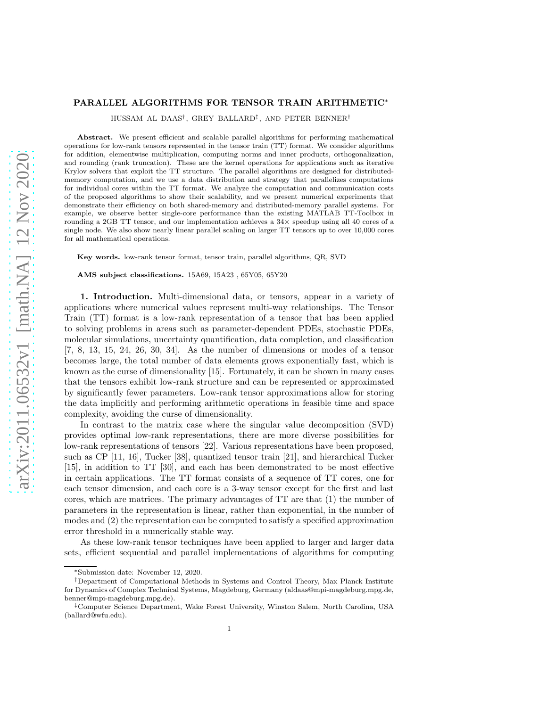# PARALLEL ALGORITHMS FOR TENSOR TRAIN ARITHMETIC∗

HUSSAM AL DAAS† , GREY BALLARD‡ , AND PETER BENNER†

Abstract. We present efficient and scalable parallel algorithms for performing mathematical operations for low-rank tensors represented in the tensor train (TT) format. We consider algorithms for addition, elementwise multiplication, computing norms and inner products, orthogonalization, and rounding (rank truncation). These are the kernel operations for applications such as iterative Krylov solvers that exploit the TT structure. The parallel algorithms are designed for distributedmemory computation, and we use a data distribution and strategy that parallelizes computations for individual cores within the TT format. We analyze the computation and communication costs of the proposed algorithms to show their scalability, and we present numerical experiments that demonstrate their efficiency on both shared-memory and distributed-memory parallel systems. For example, we observe better single-core performance than the existing MATLAB TT-Toolbox in rounding a 2GB TT tensor, and our implementation achieves a  $34\times$  speedup using all 40 cores of a single node. We also show nearly linear parallel scaling on larger TT tensors up to over 10,000 cores for all mathematical operations.

Key words. low-rank tensor format, tensor train, parallel algorithms, QR, SVD

AMS subject classifications. 15A69, 15A23 , 65Y05, 65Y20

1. Introduction. Multi-dimensional data, or tensors, appear in a variety of applications where numerical values represent multi-way relationships. The Tensor Train (TT) format is a low-rank representation of a tensor that has been applied to solving problems in areas such as parameter-dependent PDEs, stochastic PDEs, molecular simulations, uncertainty quantification, data completion, and classification [7, 8, 13, 15, 24, 26, 30, 34]. As the number of dimensions or modes of a tensor becomes large, the total number of data elements grows exponentially fast, which is known as the curse of dimensionality [15]. Fortunately, it can be shown in many cases that the tensors exhibit low-rank structure and can be represented or approximated by significantly fewer parameters. Low-rank tensor approximations allow for storing the data implicitly and performing arithmetic operations in feasible time and space complexity, avoiding the curse of dimensionality.

In contrast to the matrix case where the singular value decomposition (SVD) provides optimal low-rank representations, there are more diverse possibilities for low-rank representations of tensors [22]. Various representations have been proposed, such as CP [11, 16], Tucker [38], quantized tensor train [21], and hierarchical Tucker [15], in addition to TT [30], and each has been demonstrated to be most effective in certain applications. The TT format consists of a sequence of TT cores, one for each tensor dimension, and each core is a 3-way tensor except for the first and last cores, which are matrices. The primary advantages of TT are that (1) the number of parameters in the representation is linear, rather than exponential, in the number of modes and (2) the representation can be computed to satisfy a specified approximation error threshold in a numerically stable way.

As these low-rank tensor techniques have been applied to larger and larger data sets, efficient sequential and parallel implementations of algorithms for computing

<sup>∗</sup>Submission date: November 12, 2020.

<sup>†</sup>Department of Computational Methods in Systems and Control Theory, Max Planck Institute for Dynamics of Complex Technical Systems, Magdeburg, Germany (aldaas@mpi-magdeburg.mpg.de, benner@mpi-magdeburg.mpg.de).

<sup>‡</sup>Computer Science Department, Wake Forest University, Winston Salem, North Carolina, USA (ballard@wfu.edu).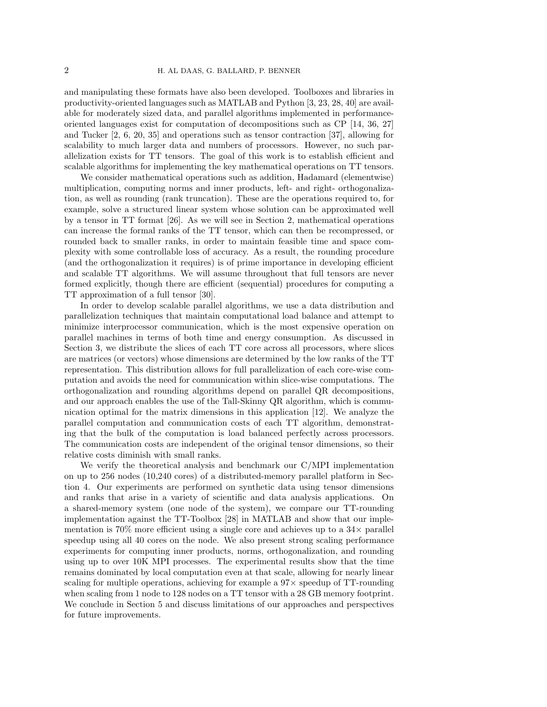and manipulating these formats have also been developed. Toolboxes and libraries in productivity-oriented languages such as MATLAB and Python [3, 23, 28, 40] are available for moderately sized data, and parallel algorithms implemented in performanceoriented languages exist for computation of decompositions such as CP [14, 36, 27] and Tucker [2, 6, 20, 35] and operations such as tensor contraction [37], allowing for scalability to much larger data and numbers of processors. However, no such parallelization exists for TT tensors. The goal of this work is to establish efficient and scalable algorithms for implementing the key mathematical operations on TT tensors.

We consider mathematical operations such as addition, Hadamard (elementwise) multiplication, computing norms and inner products, left- and right- orthogonalization, as well as rounding (rank truncation). These are the operations required to, for example, solve a structured linear system whose solution can be approximated well by a tensor in TT format [26]. As we will see in Section 2, mathematical operations can increase the formal ranks of the TT tensor, which can then be recompressed, or rounded back to smaller ranks, in order to maintain feasible time and space complexity with some controllable loss of accuracy. As a result, the rounding procedure (and the orthogonalization it requires) is of prime importance in developing efficient and scalable TT algorithms. We will assume throughout that full tensors are never formed explicitly, though there are efficient (sequential) procedures for computing a TT approximation of a full tensor [30].

In order to develop scalable parallel algorithms, we use a data distribution and parallelization techniques that maintain computational load balance and attempt to minimize interprocessor communication, which is the most expensive operation on parallel machines in terms of both time and energy consumption. As discussed in Section 3, we distribute the slices of each TT core across all processors, where slices are matrices (or vectors) whose dimensions are determined by the low ranks of the TT representation. This distribution allows for full parallelization of each core-wise computation and avoids the need for communication within slice-wise computations. The orthogonalization and rounding algorithms depend on parallel QR decompositions, and our approach enables the use of the Tall-Skinny QR algorithm, which is communication optimal for the matrix dimensions in this application [12]. We analyze the parallel computation and communication costs of each TT algorithm, demonstrating that the bulk of the computation is load balanced perfectly across processors. The communication costs are independent of the original tensor dimensions, so their relative costs diminish with small ranks.

We verify the theoretical analysis and benchmark our C/MPI implementation on up to 256 nodes (10,240 cores) of a distributed-memory parallel platform in Section 4. Our experiments are performed on synthetic data using tensor dimensions and ranks that arise in a variety of scientific and data analysis applications. On a shared-memory system (one node of the system), we compare our TT-rounding implementation against the TT-Toolbox [28] in MATLAB and show that our implementation is 70% more efficient using a single core and achieves up to a  $34\times$  parallel speedup using all 40 cores on the node. We also present strong scaling performance experiments for computing inner products, norms, orthogonalization, and rounding using up to over 10K MPI processes. The experimental results show that the time remains dominated by local computation even at that scale, allowing for nearly linear scaling for multiple operations, achieving for example a  $97\times$  speedup of TT-rounding when scaling from 1 node to 128 nodes on a TT tensor with a 28 GB memory footprint. We conclude in Section 5 and discuss limitations of our approaches and perspectives for future improvements.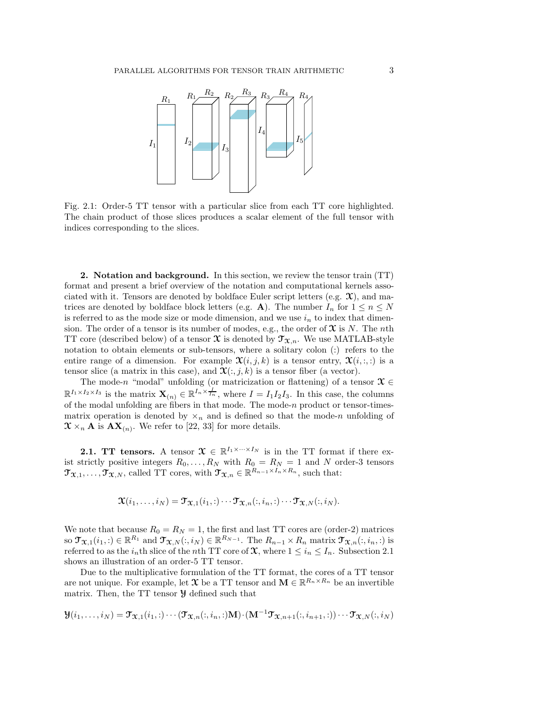

Fig. 2.1: Order-5 TT tensor with a particular slice from each TT core highlighted. The chain product of those slices produces a scalar element of the full tensor with indices corresponding to the slices.

2. Notation and background. In this section, we review the tensor train (TT) format and present a brief overview of the notation and computational kernels associated with it. Tensors are denoted by boldface Euler script letters (e.g.  $\mathfrak{X}$ ), and matrices are denoted by boldface block letters (e.g. A). The number  $I_n$  for  $1 \leq n \leq N$ is referred to as the mode size or mode dimension, and we use  $i_n$  to index that dimension. The order of a tensor is its number of modes, e.g., the order of  $\mathfrak X$  is N. The nth TT core (described below) of a tensor  $\mathfrak X$  is denoted by  $\mathfrak T_{\mathfrak X,n}$ . We use MATLAB-style notation to obtain elements or sub-tensors, where a solitary colon (:) refers to the entire range of a dimension. For example  $\mathfrak{X}(i, j, k)$  is a tensor entry,  $\mathfrak{X}(i, \ldots)$  is a tensor slice (a matrix in this case), and  $\mathfrak{X}(:,j,k)$  is a tensor fiber (a vector).

The mode-n "modal" unfolding (or matricization or flattening) of a tensor  $\mathfrak{X} \in$  $\mathbb{R}^{I_1 \times I_2 \times I_3}$  is the matrix  $\mathbf{X}_{(n)} \in \mathbb{R}^{I_n \times \frac{I}{I_n}}$ , where  $I = I_1 I_2 I_3$ . In this case, the columns of the modal unfolding are fibers in that mode. The mode-n product or tensor-timesmatrix operation is denoted by  $\times_n$  and is defined so that the mode-n unfolding of  $\mathfrak{X} \times_n \mathbf{A}$  is  $\mathbf{AX}_{(n)}$ . We refer to [22, 33] for more details.

**2.1. TT tensors.** A tensor  $\mathcal{X} \in \mathbb{R}^{I_1 \times \cdots \times I_N}$  is in the TT format if there exist strictly positive integers  $R_0, \ldots, R_N$  with  $R_0 = R_N = 1$  and N order-3 tensors  $\mathfrak{T}_{\mathfrak{X},1}, \ldots, \mathfrak{T}_{\mathfrak{X},N}$ , called TT cores, with  $\mathfrak{T}_{\mathfrak{X},n} \in \mathbb{R}^{R_{n-1} \times I_n \times R_n}$ , such that:

$$
\mathbf{\mathfrak{X}}(i_1,\ldots,i_N)=\mathbf{\mathfrak{T}}_{\mathbf{\mathfrak{X}},1}(i_1,:)\cdots\mathbf{\mathfrak{T}}_{\mathbf{\mathfrak{X}},n}(:,i_n,:)\cdots\mathbf{\mathfrak{T}}_{\mathbf{\mathfrak{X}},N}(:,i_N).
$$

We note that because  $R_0 = R_N = 1$ , the first and last TT cores are (order-2) matrices so  $\mathfrak{T}_{\mathfrak{X},1}(i_1,:)\in\mathbb{R}^{R_1}$  and  $\mathfrak{T}_{\mathfrak{X},N}(:,i_N)\in\mathbb{R}^{R_{N-1}}$ . The  $R_{n-1}\times R_n$  matrix  $\mathfrak{T}_{\mathfrak{X},n}(:,i_n,:)$  is referred to as the  $i_n$ th slice of the nth TT core of  $\mathfrak{X}$ , where  $1 \leq i_n \leq I_n$ . Subsection 2.1 shows an illustration of an order-5 TT tensor.

Due to the multiplicative formulation of the TT format, the cores of a TT tensor are not unique. For example, let  $\mathfrak X$  be a TT tensor and  $\mathbf M \in \mathbb R^{R_n \times R_n}$  be an invertible matrix. Then, the TT tensor Y defined such that

$$
\mathcal{Y}(i_1,\ldots,i_N)=\mathcal{T}_{\mathfrak{X},1}(i_1,:)\cdots(\mathcal{T}_{\mathfrak{X},n}(:,i_n,:)\mathbf{M})\cdot(\mathbf{M}^{-1}\mathcal{T}_{\mathfrak{X},n+1}(:,i_{n+1},:))\cdots\mathcal{T}_{\mathfrak{X},N}(:,i_N)
$$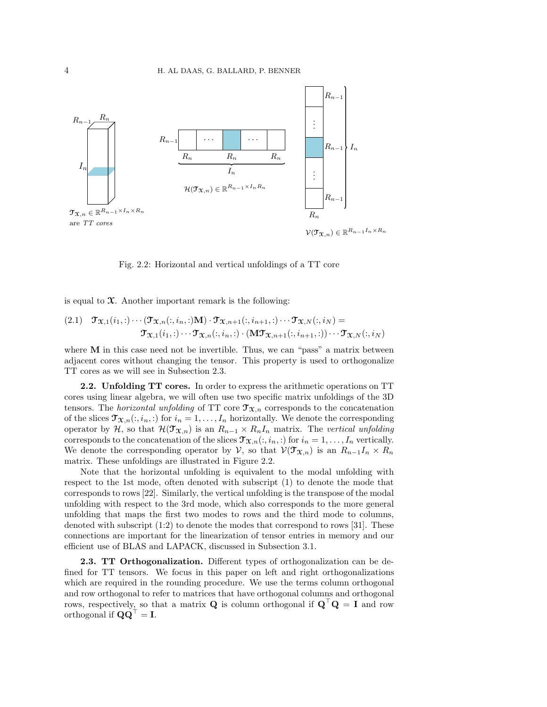

is equal to  $\mathfrak{X}$ . Another important remark is the following:

(2.1) 
$$
\mathfrak{T}_{\mathfrak{X},1}(i_1,:)\cdots(\mathfrak{T}_{\mathfrak{X},n}(i,i_n,:)\mathbf{M})\cdot\mathfrak{T}_{\mathfrak{X},n+1}(i,i_{n+1},:)\cdots\mathfrak{T}_{\mathfrak{X},N}(i,i_N)=
$$

$$
\mathfrak{T}_{\mathfrak{X},1}(i_1,:)\cdots\mathfrak{T}_{\mathfrak{X},n}(i,i_n,:)\cdot(\mathbf{M}\mathfrak{T}_{\mathfrak{X},n+1}(i,i_{n+1},:))\cdots\mathfrak{T}_{\mathfrak{X},N}(i,i_N)
$$

Fig. 2.2: Horizontal and vertical unfoldings of a TT core

where  **in this case need not be invertible. Thus, we can "pass" a matrix between** adjacent cores without changing the tensor. This property is used to orthogonalize TT cores as we will see in Subsection 2.3.

2.2. Unfolding TT cores. In order to express the arithmetic operations on TT cores using linear algebra, we will often use two specific matrix unfoldings of the 3D tensors. The *horizontal unfolding* of TT core  $\mathfrak{T}_{\mathfrak{X},n}$  corresponds to the concatenation of the slices  $\mathfrak{T}_{\mathfrak{X},n}(:, i_n, :)$  for  $i_n = 1, \ldots, I_n$  horizontally. We denote the corresponding operator by H, so that  $\mathcal{H}(\mathfrak{T}_{\mathfrak{X},n})$  is an  $R_{n-1} \times R_n I_n$  matrix. The vertical unfolding corresponds to the concatenation of the slices  $\mathfrak{T}_{\mathfrak{X},n}(:, i_n, :)$  for  $i_n = 1, \ldots, I_n$  vertically. We denote the corresponding operator by V, so that  $\mathcal{V}(\mathcal{T}_{\mathfrak{X},n})$  is an  $R_{n-1}I_n \times R_n$ matrix. These unfoldings are illustrated in Figure 2.2.

Note that the horizontal unfolding is equivalent to the modal unfolding with respect to the 1st mode, often denoted with subscript (1) to denote the mode that corresponds to rows [22]. Similarly, the vertical unfolding is the transpose of the modal unfolding with respect to the 3rd mode, which also corresponds to the more general unfolding that maps the first two modes to rows and the third mode to columns, denoted with subscript (1:2) to denote the modes that correspond to rows [31]. These connections are important for the linearization of tensor entries in memory and our efficient use of BLAS and LAPACK, discussed in Subsection 3.1.

2.3. TT Orthogonalization. Different types of orthogonalization can be defined for TT tensors. We focus in this paper on left and right orthogonalizations which are required in the rounding procedure. We use the terms column orthogonal and row orthogonal to refer to matrices that have orthogonal columns and orthogonal rows, respectively, so that a matrix **Q** is column orthogonal if  $Q'Q = I$  and row orthogonal if  $\mathbf{Q}\mathbf{Q}^{\top} = \mathbf{I}$ .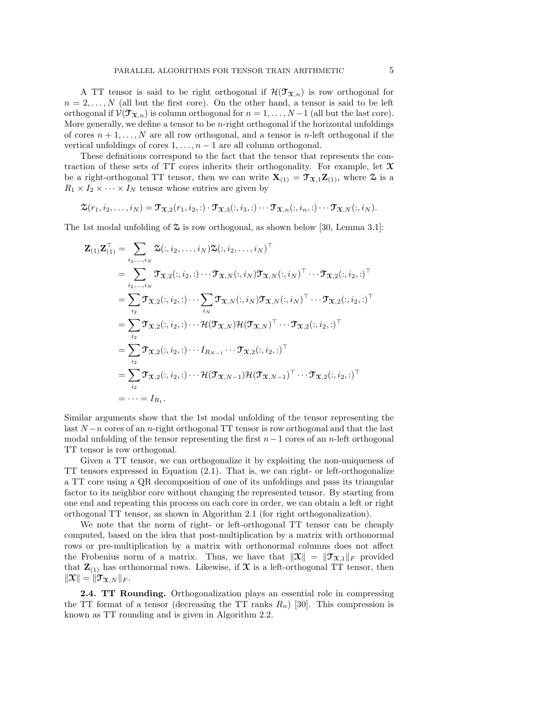A TT tensor is said to be right orthogonal if  $\mathcal{H}(\mathcal{T}_{\mathfrak{X},n})$  is row orthogonal for  $n = 2, \ldots, N$  (all but the first core). On the other hand, a tensor is said to be left orthogonal if  $\mathcal{V}(\mathcal{T}_{\mathcal{X},n})$  is column orthogonal for  $n = 1, ..., N-1$  (all but the last core). More generally, we define a tensor to be  $n$ -right orthogonal if the horizontal unfoldings of cores  $n+1,\ldots,N$  are all row orthogonal, and a tensor is n-left orthogonal if the vertical unfoldings of cores  $1, \ldots, n-1$  are all column orthogonal.

These definitions correspond to the fact that the tensor that represents the contraction of these sets of TT cores inherits their orthogonality. For example, let  $\mathcal X$ be a right-orthogonal TT tensor, then we can write  $X_{(1)} = \mathcal{T}_{X,1}Z_{(1)}$ , where  $\mathcal{Z}$  is a  $R_1 \times I_2 \times \cdots \times I_N$  tensor whose entries are given by

$$
\mathfrak{X}(r_1,i_2,\ldots,i_N)=\mathfrak{T}_{\mathfrak{X},2}(r_1,i_2,:)\cdot\mathfrak{T}_{\mathfrak{X},3}(:,i_3,:)\cdots\mathfrak{T}_{\mathfrak{X},n}(:,i_n,:)\cdots\mathfrak{T}_{\mathfrak{X},N}(:,i_N).
$$

The 1st modal unfolding of  $\mathfrak{S}$  is row orthogonal, as shown below [30, Lemma 3.1]:

$$
\mathbf{Z}_{(1)}\mathbf{Z}_{(1)}^{\top} = \sum_{i_2,\dots,i_N} \mathbf{\Sigma}(:,i_2,\dots,i_N)\mathbf{\Sigma}(:,i_2,\dots,i_N)^{\top}
$$
\n
$$
= \sum_{i_2,\dots,i_N} \mathbf{\mathcal{T}}_{\mathbf{\mathcal{X}},2}(:,i_2,:)\cdots\mathbf{\mathcal{T}}_{\mathbf{\mathcal{X}},N}(:,i_N)\mathbf{\mathcal{T}}_{\mathbf{\mathcal{X}},N}(:,i_N)^{\top}\cdots\mathbf{\mathcal{T}}_{\mathbf{\mathcal{X}},2}(:,i_2,:)^{\top}
$$
\n
$$
= \sum_{i_2} \mathbf{\mathcal{T}}_{\mathbf{\mathcal{X}},2}(:,i_2,:)\cdots\sum_{i_N} \mathbf{\mathcal{T}}_{\mathbf{\mathcal{X}},N}(:,i_N)\mathbf{\mathcal{T}}_{\mathbf{\mathcal{X}},N}(:,i_N)^{\top}\cdots\mathbf{\mathcal{T}}_{\mathbf{\mathcal{X}},2}(:,i_2,:)^{\top}
$$
\n
$$
= \sum_{i_2} \mathbf{\mathcal{T}}_{\mathbf{\mathcal{X}},2}(:,i_2,:)\cdots I_{R_{N-1}}\cdots\mathbf{\mathcal{T}}_{\mathbf{\mathcal{X}},2}(:,i_2,:)^{\top}
$$
\n
$$
= \sum_{i_2} \mathbf{\mathcal{T}}_{\mathbf{\mathcal{X}},2}(:,i_2,:)\cdots I_{R_{N-1}}\cdots\mathbf{\mathcal{T}}_{\mathbf{\mathcal{X}},2}(:,i_2,:)^{\top}
$$
\n
$$
= \sum_{i_2} \mathbf{\mathcal{T}}_{\mathbf{\mathcal{X}},2}(:,i_2,:)\cdots\mathbf{\mathcal{H}}(\mathbf{\mathcal{T}}_{\mathbf{\mathcal{X}},N-1})\mathbf{\mathcal{H}}(\mathbf{\mathcal{T}}_{\mathbf{\mathcal{X}},N-1})^{\top}\cdots\mathbf{\mathcal{T}}_{\mathbf{\mathcal{X}},2}(:,i_2,:)^{\top}
$$
\n
$$
= \cdots = I_{R_1}.
$$

Similar arguments show that the 1st modal unfolding of the tensor representing the last  $N-n$  cores of an n-right orthogonal TT tensor is row orthogonal and that the last modal unfolding of the tensor representing the first  $n-1$  cores of an n-left orthogonal TT tensor is row orthogonal.

Given a TT tensor, we can orthogonalize it by exploiting the non-uniqueness of TT tensors expressed in Equation (2.1). That is, we can right- or left-orthogonalize a TT core using a QR decomposition of one of its unfoldings and pass its triangular factor to its neighbor core without changing the represented tensor. By starting from one end and repeating this process on each core in order, we can obtain a left or right orthogonal TT tensor, as shown in Algorithm 2.1 (for right orthogonalization).

We note that the norm of right- or left-orthogonal TT tensor can be cheaply computed, based on the idea that post-multiplication by a matrix with orthonormal rows or pre-multiplication by a matrix with orthonormal columns does not affect the Frobenius norm of a matrix. Thus, we have that  $\|\mathfrak{X}\| = \|\mathfrak{T}_{\mathfrak{X},1}\|_F$  provided that  $\mathbf{Z}_{(1)}$  has orthonormal rows. Likewise, if  $\mathcal{X}$  is a left-orthogonal TT tensor, then  $\|\mathfrak{X}\| = \|\mathfrak{T}_{\mathfrak{X},N}\|_F.$ 

2.4. TT Rounding. Orthogonalization plays an essential role in compressing the TT format of a tensor (decreasing the TT ranks  $R_n$ ) [30]. This compression is known as TT rounding and is given in Algorithm 2.2.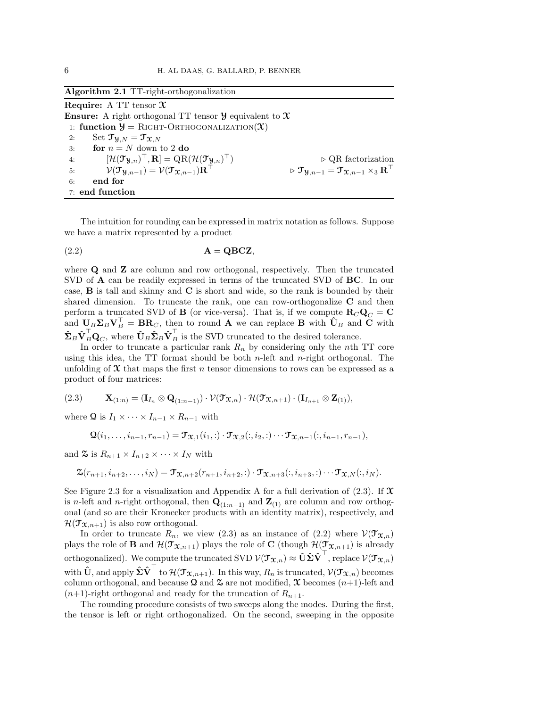### Algorithm 2.1 TT-right-orthogonalization

**Require:** A TT tensor  $\mathfrak{X}$ **Ensure:** A right orthogonal TT tensor  $\mathcal{Y}$  equivalent to  $\mathcal{X}$ 1: function  $\mathcal{Y} = \text{RIGHT-ORTHOGONALIZATION}(\mathcal{X})$ 2: Set  $\mathfrak{T}_{\mathfrak{A},N} = \mathfrak{T}_{\mathfrak{X},N}$ 3: **for**  $n = N$  down to 2 do 4:  $[\mathcal{H}(\mathfrak{I}_{\mathfrak{Y},n})^{\top},\mathbf{R}]=\mathrm{QR}(\mathcal{H}(\mathfrak{I}_{\mathfrak{Y},n}))$ ⊤) ⊲ QR factorization 5:  $\mathcal{V}(\mathfrak{T}_{\mathcal{Y},n-1}) = \mathcal{V}(\mathfrak{T}_{\mathfrak{X},n-1})\mathbf{R}$  $\mathfrak{p}\circ \mathfrak{T}_{\mathfrak{Y},n-1}=\mathfrak{T}_{\mathfrak{X},n-1}\times_3\mathbf{R}^{\top}$ 6: end for 7: end function

The intuition for rounding can be expressed in matrix notation as follows. Suppose we have a matrix represented by a product

$$
(2.2) \t\t\t\tA = QBCZ,
$$

where **Q** and **Z** are column and row orthogonal, respectively. Then the truncated SVD of A can be readily expressed in terms of the truncated SVD of BC. In our case, B is tall and skinny and C is short and wide, so the rank is bounded by their shared dimension. To truncate the rank, one can row-orthogonalize  $C$  and then perform a truncated SVD of **B** (or vice-versa). That is, if we compute  $\mathbf{R}_C \mathbf{Q}_C = \mathbf{C}$ and  $U_B \Sigma_B V_B^{\top} = BR_C$ , then to round A we can replace B with  $\hat{U}_B$  and C with  $\hat{\Sigma}_B \hat{\mathbf{V}}_B^{\dagger} \mathbf{Q}_C$ , where  $\hat{\mathbf{U}}_B \hat{\mathbf{\Sigma}}_B \hat{\mathbf{V}}_B^{\dagger}$  is the SVD truncated to the desired tolerance.

In order to truncate a particular rank  $R_n$  by considering only the nth TT core using this idea, the  $TT$  format should be both *n*-left and *n*-right orthogonal. The unfolding of  $\mathfrak X$  that maps the first n tensor dimensions to rows can be expressed as a product of four matrices:

$$
(2.3) \qquad \mathbf{X}_{(1:n)} = (\mathbf{I}_{I_n} \otimes \mathbf{Q}_{(1:n-1)}) \cdot \mathcal{V}(\mathbf{T}_{\mathbf{X},n}) \cdot \mathcal{H}(\mathbf{T}_{\mathbf{X},n+1}) \cdot (\mathbf{I}_{I_{n+1}} \otimes \mathbf{Z}_{(1)}),
$$

where Q is  $I_1 \times \cdots \times I_{n-1} \times R_{n-1}$  with

 $\mathbf{Q}(i_1, \ldots, i_{n-1}, r_{n-1}) = \mathbf{\mathcal{T}}_{\mathbf{X},1}(i_1, \cdot) \cdot \mathbf{\mathcal{T}}_{\mathbf{X},2}(i, i_2, \cdot) \cdots \mathbf{\mathcal{T}}_{\mathbf{X},n-1}(i, i_{n-1}, r_{n-1}),$ 

and  $\mathfrak{S}$  is  $R_{n+1} \times I_{n+2} \times \cdots \times I_N$  with

$$
\mathfrak{X}(r_{n+1}, i_{n+2}, \ldots, i_N) = \mathfrak{Y}_{\mathfrak{X}, n+2}(r_{n+1}, i_{n+2}, :) \cdot \mathfrak{Y}_{\mathfrak{X}, n+3}(:, i_{n+3}, :) \cdots \mathfrak{Y}_{\mathfrak{X}, N}(:, i_N).
$$

See Figure 2.3 for a visualization and Appendix A for a full derivation of  $(2.3)$ . If  $\mathfrak X$ is n-left and n-right orthogonal, then  $\mathbf{Q}_{(1:n-1)}$  and  $\mathbf{Z}_{(1)}$  are column and row orthogonal (and so are their Kronecker products with an identity matrix), respectively, and  $\mathcal{H}(\mathcal{T}_{\mathfrak{X},n+1})$  is also row orthogonal.

In order to truncate  $R_n$ , we view (2.3) as an instance of (2.2) where  $\mathcal{V}(\mathcal{T}_{\mathfrak{X},n})$ plays the role of **B** and  $\mathcal{H}(\mathcal{T}_{\mathfrak{X},n+1})$  plays the role of **C** (though  $\mathcal{H}(\mathcal{T}_{\mathfrak{X},n+1})$  is already orthogonalized). We compute the truncated SVD  $\mathcal{V}(\mathfrak{T}_{\mathfrak{X},n})\approx \hat{\mathbf{U}}\hat{\mathbf{\Sigma}}\hat{\mathbf{V}}^\top,$  replace  $\mathcal{V}(\mathfrak{T}_{\mathfrak{X},n})$ with  $\mathbf{\hat{U}},$  and apply  $\mathbf{\hat{\Sigma}}\mathbf{\hat{V}}^\top$  to  $\mathcal{H}(\mathbf{\mathcal{T}}_{\mathbf{\mathbf{X}},n+1}).$  In this way,  $R_n$  is truncated,  $\mathcal{V}(\mathbf{\mathcal{T}}_{\mathbf{\mathbf{X}},n})$  becomes column orthogonal, and because Q and  $\mathfrak{X}$  are not modified,  $\mathfrak{X}$  becomes  $(n+1)$ -left and  $(n+1)$ -right orthogonal and ready for the truncation of  $R_{n+1}$ .

The rounding procedure consists of two sweeps along the modes. During the first, the tensor is left or right orthogonalized. On the second, sweeping in the opposite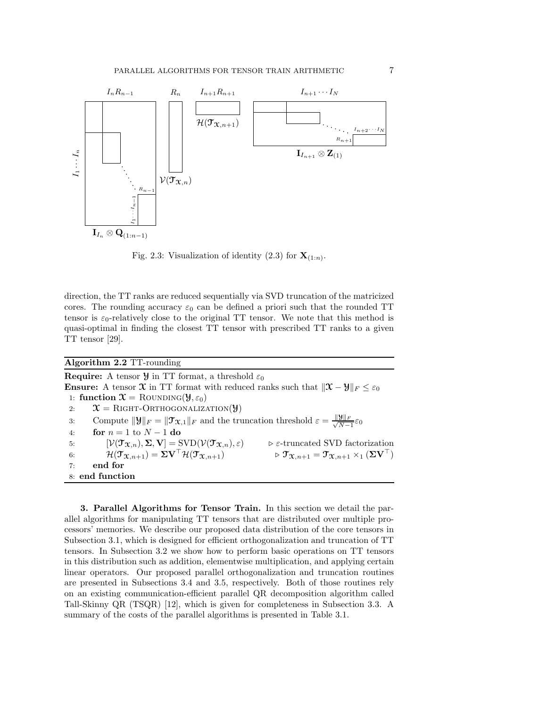

Fig. 2.3: Visualization of identity  $(2.3)$  for  $\mathbf{X}_{(1:n)}$ .

direction, the TT ranks are reduced sequentially via SVD truncation of the matricized cores. The rounding accuracy  $\varepsilon_0$  can be defined a priori such that the rounded TT tensor is  $\varepsilon_0$ -relatively close to the original TT tensor. We note that this method is quasi-optimal in finding the closest TT tensor with prescribed TT ranks to a given TT tensor [29].

Algorithm 2.2 TT-rounding

**Require:** A tensor  $\mathcal{Y}$  in TT format, a threshold  $\varepsilon_0$ **Ensure:** A tensor  $\mathcal{X}$  in TT format with reduced ranks such that  $\|\mathcal{X} - \mathcal{Y}\|_F \leq \varepsilon_0$ 1: function  $\mathfrak{X} = \text{RowDING}(\mathfrak{Y}, \varepsilon_0)$ 2:  $\mathcal{X} = \text{RIGHT-ORTHOGONALIZATION}(\mathcal{Y})$ 3: Compute  $||\mathbf{y}||_F = ||\mathbf{\mathcal{T}}_{\mathbf{\mathcal{X}},1}||_F$  and the truncation threshold  $\varepsilon = \frac{||\mathbf{y}||_F}{\sqrt{N-1}}$  $\frac{\partial ||F}{N-1}\varepsilon_0$ 4: **for**  $n = 1$  to  $N - 1$  do 5:  $[\mathcal{V}(\mathcal{T}_{\mathfrak{X},n}), \Sigma, \mathbf{V}] = \text{SVD}(\mathcal{V}(\mathcal{T}_{\mathfrak{X},n}), \varepsilon)$   $\triangleright \varepsilon$ -truncated SVD factorization<br>6:  $\mathcal{H}(\mathcal{T}_{\mathfrak{X},n+1}) = \Sigma \mathbf{V}^\top \mathcal{H}(\mathcal{T}_{\mathfrak{X},n+1})$   $\triangleright \mathcal{T}_{\mathfrak{X},n+1} = \mathcal{T}_{\mathfrak{X},n+1} \times_1 (\Sigma \mathbf{V}^\top)$ 6:  $\mathcal{H}(\mathfrak{I}_{\mathfrak{X},n+1}) = \Sigma \mathbf{V}^\top \mathcal{H}(\mathfrak{I}_{\mathfrak{X},n+1}) \qquad \qquad \triangleright \mathfrak{I}_{\mathfrak{X},n+1} = \mathfrak{I}_{\mathfrak{X},n+1} \times_1 (\Sigma \mathbf{V}^\top)$ 7: end for 8: end function

3. Parallel Algorithms for Tensor Train. In this section we detail the parallel algorithms for manipulating TT tensors that are distributed over multiple processors' memories. We describe our proposed data distribution of the core tensors in Subsection 3.1, which is designed for efficient orthogonalization and truncation of TT tensors. In Subsection 3.2 we show how to perform basic operations on TT tensors in this distribution such as addition, elementwise multiplication, and applying certain linear operators. Our proposed parallel orthogonalization and truncation routines are presented in Subsections 3.4 and 3.5, respectively. Both of those routines rely on an existing communication-efficient parallel QR decomposition algorithm called Tall-Skinny QR (TSQR) [12], which is given for completeness in Subsection 3.3. A summary of the costs of the parallel algorithms is presented in Table 3.1.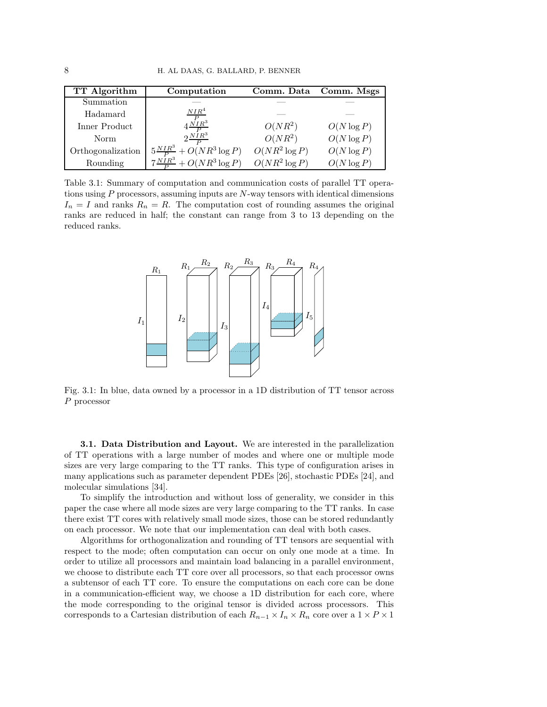| TT Algorithm      | Computation                            |                  | Comm. Data Comm. Msgs |
|-------------------|----------------------------------------|------------------|-----------------------|
| Summation         |                                        |                  |                       |
| Hadamard          | NIR <sup>4</sup>                       |                  |                       |
| Inner Product     | $4\frac{P}{MP^3}$                      | $O(NR^2)$        | $O(N \log P)$         |
| Norm              | $2\frac{NIR^3}{R}$                     | $O(NR^2)$        | $O(N \log P)$         |
| Orthogonalization | $5\frac{NIR^3}{P}+O(NR^3\log P)$       | $O(NR^2 \log P)$ | $O(N \log P)$         |
| Rounding          | $7\frac{N\hat{I}R^3}{D}+O(NR^3\log P)$ | $O(NR^2 \log P)$ | $O(N \log P)$         |

Table 3.1: Summary of computation and communication costs of parallel TT operations using  $P$  processors, assuming inputs are  $N$ -way tensors with identical dimensions  $I_n = I$  and ranks  $R_n = R$ . The computation cost of rounding assumes the original ranks are reduced in half; the constant can range from 3 to 13 depending on the reduced ranks.



Fig. 3.1: In blue, data owned by a processor in a 1D distribution of TT tensor across P processor

**3.1. Data Distribution and Layout.** We are interested in the parallelization of TT operations with a large number of modes and where one or multiple mode sizes are very large comparing to the TT ranks. This type of configuration arises in many applications such as parameter dependent PDEs [26], stochastic PDEs [24], and molecular simulations [34].

To simplify the introduction and without loss of generality, we consider in this paper the case where all mode sizes are very large comparing to the TT ranks. In case there exist TT cores with relatively small mode sizes, those can be stored redundantly on each processor. We note that our implementation can deal with both cases.

Algorithms for orthogonalization and rounding of TT tensors are sequential with respect to the mode; often computation can occur on only one mode at a time. In order to utilize all processors and maintain load balancing in a parallel environment, we choose to distribute each TT core over all processors, so that each processor owns a subtensor of each TT core. To ensure the computations on each core can be done in a communication-efficient way, we choose a 1D distribution for each core, where the mode corresponding to the original tensor is divided across processors. This corresponds to a Cartesian distribution of each  $R_{n-1}\times I_n\times R_n$  core over a  $1\times P\times 1$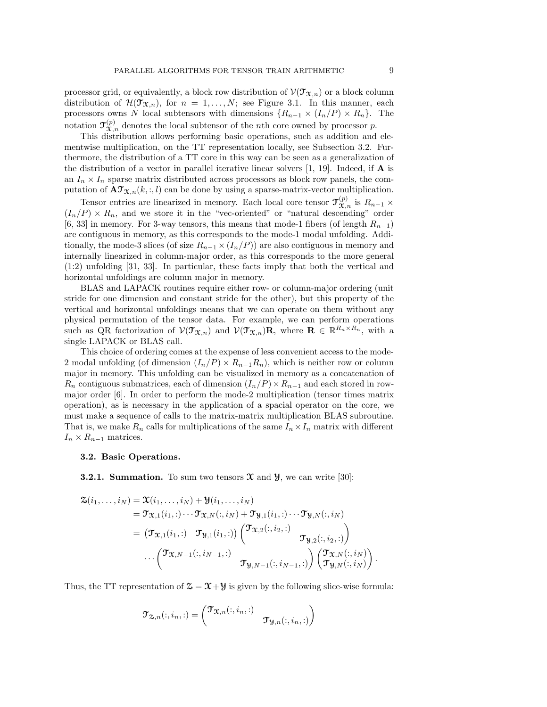processor grid, or equivalently, a block row distribution of  $\mathcal{V}(\mathcal{T}_{\mathfrak{X},n})$  or a block column distribution of  $\mathcal{H}(\mathcal{T}_{\mathfrak{X},n})$ , for  $n = 1, ..., N$ ; see Figure 3.1. In this manner, each processors owns N local subtensors with dimensions  $\{R_{n-1} \times (I_n/P) \times R_n\}$ . The notation  $\mathfrak{T}_{\mathfrak{X},n}^{(p)}$  denotes the local subtensor of the *n*th core owned by processor p.

This distribution allows performing basic operations, such as addition and elementwise multiplication, on the TT representation locally, see Subsection 3.2. Furthermore, the distribution of a TT core in this way can be seen as a generalization of the distribution of a vector in parallel iterative linear solvers  $[1, 19]$ . Indeed, if **A** is an  $I_n \times I_n$  sparse matrix distributed across processors as block row panels, the computation of  $\mathbf{A} \mathcal{T}_{\mathfrak{X},n}(k,:,l)$  can be done by using a sparse-matrix-vector multiplication.

Tensor entries are linearized in memory. Each local core tensor  $\mathfrak{T}_{\mathfrak{X},n}^{(p)}$  is  $R_{n-1} \times$  $(I_n/P) \times R_n$ , and we store it in the "vec-oriented" or "natural descending" order [6, 33] in memory. For 3-way tensors, this means that mode-1 fibers (of length  $R_{n-1}$ ) are contiguous in memory, as this corresponds to the mode-1 modal unfolding. Additionally, the mode-3 slices (of size  $R_{n-1} \times (I_n/P)$ ) are also contiguous in memory and internally linearized in column-major order, as this corresponds to the more general (1:2) unfolding [31, 33]. In particular, these facts imply that both the vertical and horizontal unfoldings are column major in memory.

BLAS and LAPACK routines require either row- or column-major ordering (unit stride for one dimension and constant stride for the other), but this property of the vertical and horizontal unfoldings means that we can operate on them without any physical permutation of the tensor data. For example, we can perform operations such as QR factorization of  $\mathcal{V}(\mathcal{T}_{\mathfrak{X},n})$  and  $\mathcal{V}(\mathcal{T}_{\mathfrak{X},n})\mathbf{R}$ , where  $\mathbf{R} \in \mathbb{R}^{R_n \times R_n}$ , with a single LAPACK or BLAS call.

This choice of ordering comes at the expense of less convenient access to the mode-2 modal unfolding (of dimension  $(I_n/P) \times R_{n-1}R_n$ ), which is neither row or column major in memory. This unfolding can be visualized in memory as a concatenation of  $R_n$  contiguous submatrices, each of dimension  $(I_n/P) \times R_{n-1}$  and each stored in rowmajor order [6]. In order to perform the mode-2 multiplication (tensor times matrix operation), as is necessary in the application of a spacial operator on the core, we must make a sequence of calls to the matrix-matrix multiplication BLAS subroutine. That is, we make  $R_n$  calls for multiplications of the same  $I_n \times I_n$  matrix with different  $I_n \times R_{n-1}$  matrices.

# 3.2. Basic Operations.

**3.2.1. Summation.** To sum two tensors  $\mathfrak{X}$  and  $\mathfrak{Y}$ , we can write [30]:

$$
\mathfrak{X}(i_1,\ldots,i_N) = \mathfrak{X}(i_1,\ldots,i_N) + \mathfrak{Y}(i_1,\ldots,i_N)
$$
\n
$$
= \mathfrak{Y}_{\mathfrak{X},1}(i_1,:)\cdots\mathfrak{Y}_{\mathfrak{X},N}(:,i_N) + \mathfrak{Y}_{\mathfrak{Y},1}(i_1,:)\cdots\mathfrak{Y}_{\mathfrak{Y},N}(:,i_N)
$$
\n
$$
= (\mathfrak{Y}_{\mathfrak{X},1}(i_1,:) \quad \mathfrak{Y}_{\mathfrak{Y},1}(i_1,:)) \begin{pmatrix} \mathfrak{Y}_{\mathfrak{X},2}(:,i_2,:) \\ & \mathfrak{Y}_{\mathfrak{Y},2}(:,i_2,:) \end{pmatrix}
$$
\n
$$
\cdots \begin{pmatrix} \mathfrak{Y}_{\mathfrak{X},N-1}(:,i_{N-1},:) \\ & \mathfrak{Y}_{\mathfrak{Y},N-1}(:,i_{N-1},:) \end{pmatrix} \begin{pmatrix} \mathfrak{Y}_{\mathfrak{X},N}(:,i_N) \\ \mathfrak{Y}_{\mathfrak{Y},N}(:,i_N) \end{pmatrix}.
$$

Thus, the TT representation of  $\mathcal{Z} = \mathcal{X} + \mathcal{Y}$  is given by the following slice-wise formula:

$$
\mathfrak{T}_{\mathfrak{D},n}(:,i_n,:)=\begin{pmatrix}\mathfrak{T}_{\mathfrak{X},n}(:,i_n,:)&\\&\mathfrak{T}_{\mathfrak{Y},n}(:,i_n,:)\end{pmatrix}
$$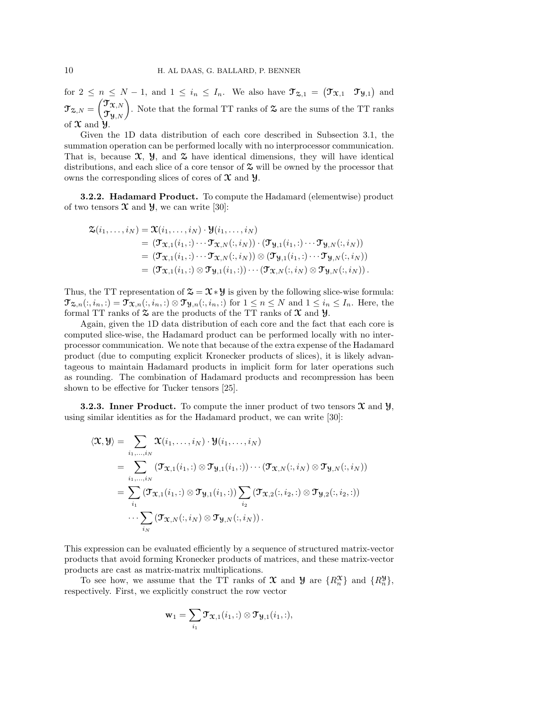for  $2 \leq n \leq N-1$ , and  $1 \leq i_n \leq I_n$ . We also have  $\mathfrak{T}_{\mathfrak{A},1} = (\mathfrak{T}_{\mathfrak{X},1} \ \ \mathfrak{T}_{\mathfrak{Y},1})$  and  $\mathfrak{T}_{\mathfrak{X},N}=\begin{pmatrix} \mathfrak{T}_{\mathfrak{X},N} \ \mathfrak{T}_{\mathfrak{Y},N} \end{pmatrix}$ . Note that the formal TT ranks of  $\mathfrak{X}$  are the sums of the TT ranks of  $\mathfrak X$  and  $\mathfrak Y$ .

Given the 1D data distribution of each core described in Subsection 3.1, the summation operation can be performed locally with no interprocessor communication. That is, because  $\mathfrak{X}, \mathcal{Y},$  and  $\mathfrak{X}$  have identical dimensions, they will have identical distributions, and each slice of a core tensor of  $\mathfrak{S}$  will be owned by the processor that owns the corresponding slices of cores of  $\mathfrak X$  and  $\mathfrak Y$ .

3.2.2. Hadamard Product. To compute the Hadamard (elementwise) product of two tensors  $\mathfrak X$  and  $\mathfrak Y$ , we can write [30]:

$$
\mathfrak{X}(i_1,\ldots,i_N) = \mathfrak{X}(i_1,\ldots,i_N) \cdot \mathfrak{Y}(i_1,\ldots,i_N)
$$
\n
$$
= (\mathfrak{Y}_{\mathfrak{X},1}(i_1,:)\cdots \mathfrak{Y}_{\mathfrak{X},N}(:,i_N)) \cdot (\mathfrak{Y}_{\mathfrak{Y},1}(i_1,:)\cdots \mathfrak{Y}_{\mathfrak{Y},N}(:,i_N))
$$
\n
$$
= (\mathfrak{Y}_{\mathfrak{X},1}(i_1,:)\cdots \mathfrak{Y}_{\mathfrak{X},N}(:,i_N)) \otimes (\mathfrak{Y}_{\mathfrak{Y},1}(i_1,:)\cdots \mathfrak{Y}_{\mathfrak{Y},N}(:,i_N))
$$
\n
$$
= (\mathfrak{Y}_{\mathfrak{X},1}(i_1,:)\otimes \mathfrak{Y}_{\mathfrak{Y},1}(i_1,:))\cdots (\mathfrak{Y}_{\mathfrak{X},N}(:,i_N)\otimes \mathfrak{Y}_{\mathfrak{Y},N}(:,i_N)).
$$

Thus, the TT representation of  $\mathcal{Z} = \mathcal{X} * \mathcal{Y}$  is given by the following slice-wise formula:  $\mathfrak{T}_{\mathfrak{X},n}(:,i_n,:)=\mathfrak{T}_{\mathfrak{X},n}(:,i_n,:)\otimes \mathfrak{T}_{\mathfrak{Y},n}(:,i_n,:)$  for  $1\leq n\leq N$  and  $1\leq i_n\leq I_n$ . Here, the formal TT ranks of  $\mathfrak S$  are the products of the TT ranks of  $\mathfrak X$  and  $\mathfrak Y$ .

Again, given the 1D data distribution of each core and the fact that each core is computed slice-wise, the Hadamard product can be performed locally with no interprocessor communication. We note that because of the extra expense of the Hadamard product (due to computing explicit Kronecker products of slices), it is likely advantageous to maintain Hadamard products in implicit form for later operations such as rounding. The combination of Hadamard products and recompression has been shown to be effective for Tucker tensors [25].

**3.2.3.** Inner Product. To compute the inner product of two tensors  $\mathfrak{X}$  and  $\mathfrak{Y}$ , using similar identities as for the Hadamard product, we can write [30]:

hX,Yi = X i1,...,i<sup>N</sup> X(i1, . . . , i<sup>N</sup> ) · Y(i1, . . . , i<sup>N</sup> ) = X i1,...,i<sup>N</sup> (T<sup>X</sup>,1(i1, :) ⊗ T<sup>Y</sup>,1(i1, :))· · ·(T<sup>X</sup>,N (:, i<sup>N</sup> ) ⊗ T<sup>Y</sup>,N (:, i<sup>N</sup> )) = X i1 (TX,1(i1, :) ⊗ TY,1(i1, :))X i2 (TX,2(:, i2, :) ⊗ TY,2(:, i2, :)) · · ·X iN (TX,N (:, i<sup>N</sup> ) ⊗ TY,N (:, i<sup>N</sup> )).

This expression can be evaluated efficiently by a sequence of structured matrix-vector products that avoid forming Kronecker products of matrices, and these matrix-vector products are cast as matrix-matrix multiplications.

To see how, we assume that the TT ranks of  $\mathfrak X$  and  $\mathfrak Y$  are  $\{R_n^{\mathfrak X}\}$  and  $\{R_n^{\mathfrak Y}\}$ , respectively. First, we explicitly construct the row vector

$$
\mathbf{w}_1 = \sum_{i_1} \mathbf{\mathcal{T}}_{\mathbf{\mathcal{X}},1}(i_1,:) \otimes \mathbf{\mathcal{T}}_{\mathbf{\mathcal{Y}},1}(i_1,:),
$$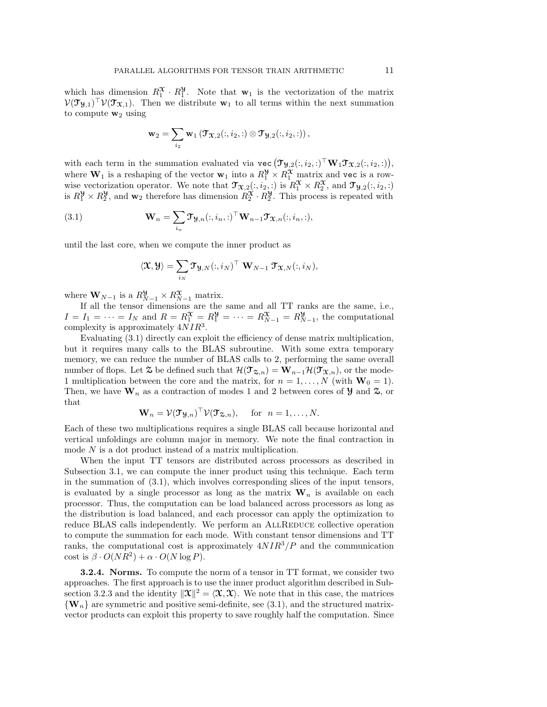which has dimension  $R_1^{\mathfrak{X}} \cdot R_1^{\mathfrak{Y}}$ . Note that  $\mathbf{w}_1$  is the vectorization of the matrix  $V(\mathfrak{I}_{\mathfrak{Y},1})^{\top}V(\mathfrak{I}_{\mathfrak{X},1})$ . Then we distribute  $\mathbf{w}_1$  to all terms within the next summation to compute  $w_2$  using

$$
\mathbf{w}_2 = \sum_{i_2} \mathbf{w}_1 \left( \mathbf{\mathcal{T}}_{\mathbf{\mathcal{X}},2}(:,i_2,:) \otimes \mathbf{\mathcal{T}}_{\mathbf{\mathcal{Y}},2}(:,i_2,:) \right),
$$

with each term in the summation evaluated via  $\text{vec}(\mathcal{T}_{\mathcal{Y},2}(:,i_2,:)^{\top} \mathbf{W}_1 \mathcal{T}_{\mathcal{X},2}(:,i_2,:)),$ where  $\mathbf{W}_1$  is a reshaping of the vector  $\mathbf{w}_1$  into a  $R_1^{\mathcal{Y}} \times R_1^{\mathcal{X}}$  matrix and vec is a rowwise vectorization operator. We note that  $\mathcal{T}_{\mathfrak{X},2}(:,i_2,:)$  is  $R_1^{\mathfrak{X}} \times R_2^{\mathfrak{X}}$ , and  $\mathcal{T}_{\mathfrak{Y},2}(:,i_2,:)$ is  $R_1^{\mathcal{Y}} \times R_2^{\mathcal{Y}}$ , and  $\mathbf{w}_2$  therefore has dimension  $R_2^{\mathcal{X}} \cdot R_2^{\mathcal{Y}}$ . This process is repeated with

(3.1) 
$$
\mathbf{W}_n = \sum_{i_n} \mathbf{\mathcal{T}} \mathbf{y}_{,n}(:,i_n,:)^{\top} \mathbf{W}_{n-1} \mathbf{\mathcal{T}} \mathbf{x}_{,n}(:,i_n,:),
$$

until the last core, when we compute the inner product as

$$
\langle \mathfrak{X}, \mathfrak{Y} \rangle = \sum_{i_N} \mathfrak{Y}_{\mathfrak{Y}, N}(:,i_N)^\top \mathbf{W}_{N-1} \mathbf{\mathfrak{T}}_{\mathfrak{X}, N}(:,i_N),
$$

where  $\mathbf{W}_{N-1}$  is a  $R_{N-1}^{\mathbf{y}} \times R_{N-1}^{\mathbf{x}}$  matrix.

If all the tensor dimensions are the same and all TT ranks are the same, i.e.,  $I = I_1 = \cdots = I_N$  and  $R = R_1^{\mathfrak{X}} = R_1^{\mathfrak{Y}} = \cdots = R_{N-1}^{\mathfrak{X}} = R_{N-1}^{\mathfrak{Y}}$ , the computational complexity is approximately  $4NIR^3$ .

Evaluating (3.1) directly can exploit the efficiency of dense matrix multiplication, but it requires many calls to the BLAS subroutine. With some extra temporary memory, we can reduce the number of BLAS calls to 2, performing the same overall number of flops. Let  $\mathfrak{Z}$  be defined such that  $\mathcal{H}(\mathfrak{T}_{\mathfrak{Z},n}) = \mathbf{W}_{n-1}\mathcal{H}(\mathfrak{T}_{\mathfrak{X},n})$ , or the mode-1 multiplication between the core and the matrix, for  $n = 1, \ldots, N$  (with  $\mathbf{W}_0 = 1$ ). Then, we have  $\mathbf{W}_n$  as a contraction of modes 1 and 2 between cores of  $\mathcal{Y}$  and  $\mathcal{Z}$ , or that

$$
\mathbf{W}_n = \mathcal{V}(\mathcal{T}_{\mathcal{Y},n})^\top \mathcal{V}(\mathcal{T}_{\mathcal{Z},n}), \quad \text{ for } n = 1,\ldots,N.
$$

Each of these two multiplications requires a single BLAS call because horizontal and vertical unfoldings are column major in memory. We note the final contraction in mode N is a dot product instead of a matrix multiplication.

When the input TT tensors are distributed across processors as described in Subsection 3.1, we can compute the inner product using this technique. Each term in the summation of (3.1), which involves corresponding slices of the input tensors, is evaluated by a single processor as long as the matrix  $\mathbf{W}_n$  is available on each processor. Thus, the computation can be load balanced across processors as long as the distribution is load balanced, and each processor can apply the optimization to reduce BLAS calls independently. We perform an ALLREDUCE collective operation to compute the summation for each mode. With constant tensor dimensions and TT ranks, the computational cost is approximately  $4NIR^3/P$  and the communication cost is  $\beta \cdot O(NR^2) + \alpha \cdot O(N \log P)$ .

**3.2.4.** Norms. To compute the norm of a tensor in TT format, we consider two approaches. The first approach is to use the inner product algorithm described in Subsection 3.2.3 and the identity  $\|\mathbf{\mathcal{X}}\|^2 = \langle \mathbf{\mathcal{X}}, \mathbf{\mathcal{X}} \rangle$ . We note that in this case, the matrices  ${W_n}$  are symmetric and positive semi-definite, see (3.1), and the structured matrixvector products can exploit this property to save roughly half the computation. Since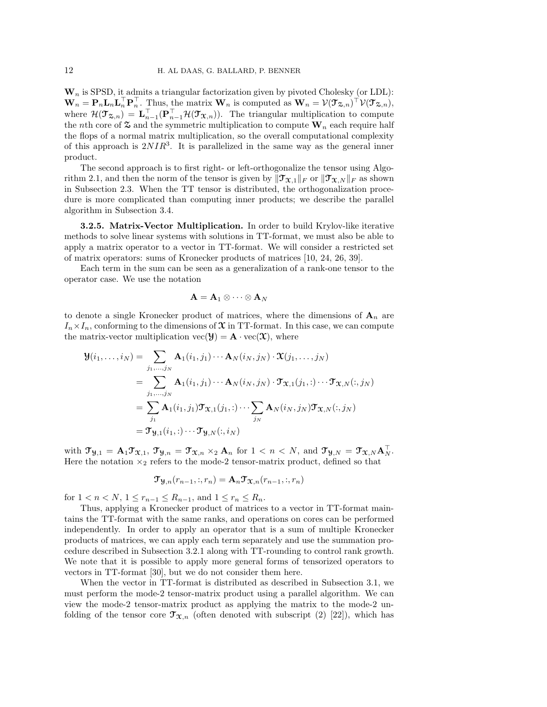$W_n$  is SPSD, it admits a triangular factorization given by pivoted Cholesky (or LDL):  $\mathbf{W}_n = \mathbf{P}_n \mathbf{L}_n \mathbf{L}_n^{\top} \mathbf{P}_n^{\top}$ . Thus, the matrix  $\mathbf{W}_n$  is computed as  $\mathbf{W}_n = \mathcal{V}(\mathcal{T}_{\mathbf{X},n})^{\top} \mathcal{V}(\mathcal{T}_{\mathbf{X},n})$ , where  $\mathcal{H}(\mathcal{T}_{\mathcal{Z},n}) = \mathbf{L}_{n-1}^{\perp}(\mathbf{P}_{n-1}^{\perp}\mathcal{H}(\mathcal{T}_{\mathcal{X},n}))$ . The triangular multiplication to compute the nth core of  $\mathfrak{S}$  and the symmetric multiplication to compute  $\mathbf{W}_n$  each require half the flops of a normal matrix multiplication, so the overall computational complexity of this approach is  $2NIR^3$ . It is parallelized in the same way as the general inner product.

The second approach is to first right- or left-orthogonalize the tensor using Algorithm 2.1, and then the norm of the tensor is given by  $\|\mathcal{T}_{X,1}\|_F$  or  $\|\mathcal{T}_{X,N}\|_F$  as shown in Subsection 2.3. When the TT tensor is distributed, the orthogonalization procedure is more complicated than computing inner products; we describe the parallel algorithm in Subsection 3.4.

3.2.5. Matrix-Vector Multiplication. In order to build Krylov-like iterative methods to solve linear systems with solutions in TT-format, we must also be able to apply a matrix operator to a vector in TT-format. We will consider a restricted set of matrix operators: sums of Kronecker products of matrices [10, 24, 26, 39].

Each term in the sum can be seen as a generalization of a rank-one tensor to the operator case. We use the notation

$$
\mathbf{A} = \mathbf{A}_1 \otimes \cdots \otimes \mathbf{A}_N
$$

to denote a single Kronecker product of matrices, where the dimensions of  $\mathbf{A}_n$  are  $I_n \times I_n$ , conforming to the dimensions of  $\mathfrak X$  in TT-format. In this case, we can compute the matrix-vector multiplication  $\text{vec}(\mathcal{Y}) = \mathbf{A} \cdot \text{vec}(\mathcal{X})$ , where

$$
\mathbf{Y}(i_1,\ldots,i_N) = \sum_{j_1,\ldots,j_N} \mathbf{A}_1(i_1,j_1)\cdots\mathbf{A}_N(i_N,j_N)\cdot\mathbf{X}(j_1,\ldots,j_N)
$$
  
\n
$$
= \sum_{j_1,\ldots,j_N} \mathbf{A}_1(i_1,j_1)\cdots\mathbf{A}_N(i_N,j_N)\cdot\mathbf{T}_{\mathbf{X},1}(j_1,:)\cdots\mathbf{T}_{\mathbf{X},N}(:,j_N)
$$
  
\n
$$
= \sum_{j_1} \mathbf{A}_1(i_1,j_1)\mathbf{T}_{\mathbf{X},1}(j_1,:)\cdots\sum_{j_N} \mathbf{A}_N(i_N,j_N)\mathbf{T}_{\mathbf{X},N}(:,j_N)
$$
  
\n
$$
= \mathbf{T}_{\mathbf{Y},1}(i_1,:)\cdots\mathbf{T}_{\mathbf{Y},N}(:,i_N)
$$

with  $\mathfrak{T}_{\mathfrak{Y},1} = \mathbf{A}_1 \mathfrak{T}_{\mathfrak{X},1}, \, \mathfrak{T}_{\mathfrak{Y},n} = \mathfrak{T}_{\mathfrak{X},n} \times_2 \mathbf{A}_n$  for  $1 < n < N$ , and  $\mathfrak{T}_{\mathfrak{Y},N} = \mathfrak{T}_{\mathfrak{X},N} \mathbf{A}_N^{\top}$ . Here the notation  $x_2$  refers to the mode-2 tensor-matrix product, defined so that

$$
\mathfrak{T}_{\mathcal{Y},n}(r_{n-1},:,r_n)=\mathbf{A}_n \mathfrak{T}_{\mathcal{X},n}(r_{n-1},:,r_n)
$$

for  $1 < n < N$ ,  $1 \le r_{n-1} \le R_{n-1}$ , and  $1 \le r_n \le R_n$ .

Thus, applying a Kronecker product of matrices to a vector in TT-format maintains the TT-format with the same ranks, and operations on cores can be performed independently. In order to apply an operator that is a sum of multiple Kronecker products of matrices, we can apply each term separately and use the summation procedure described in Subsection 3.2.1 along with TT-rounding to control rank growth. We note that it is possible to apply more general forms of tensorized operators to vectors in TT-format [30], but we do not consider them here.

When the vector in TT-format is distributed as described in Subsection 3.1, we must perform the mode-2 tensor-matrix product using a parallel algorithm. We can view the mode-2 tensor-matrix product as applying the matrix to the mode-2 unfolding of the tensor core  $\mathfrak{T}_{\mathfrak{X},n}$  (often denoted with subscript (2) [22]), which has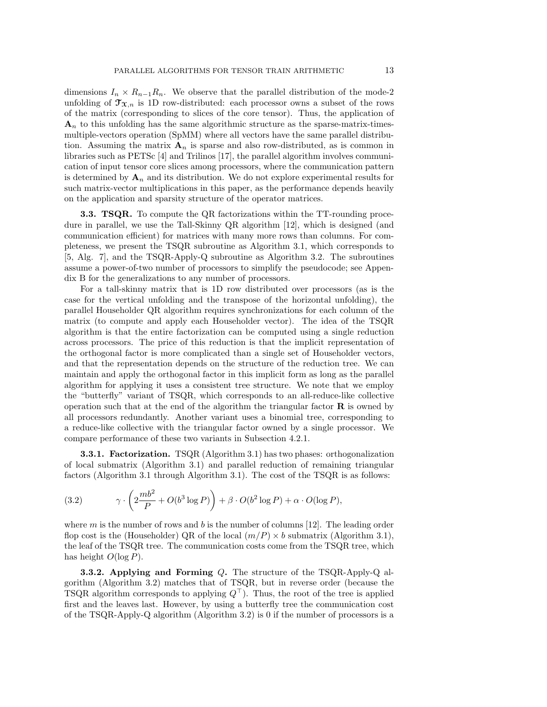dimensions  $I_n \times R_{n-1}R_n$ . We observe that the parallel distribution of the mode-2 unfolding of  $\mathfrak{T}_{\mathfrak{X},n}$  is 1D row-distributed: each processor owns a subset of the rows of the matrix (corresponding to slices of the core tensor). Thus, the application of  $\mathbf{A}_n$  to this unfolding has the same algorithmic structure as the sparse-matrix-timesmultiple-vectors operation (SpMM) where all vectors have the same parallel distribution. Assuming the matrix  $\mathbf{A}_n$  is sparse and also row-distributed, as is common in libraries such as PETSc [4] and Trilinos [17], the parallel algorithm involves communication of input tensor core slices among processors, where the communication pattern is determined by  $A_n$  and its distribution. We do not explore experimental results for such matrix-vector multiplications in this paper, as the performance depends heavily on the application and sparsity structure of the operator matrices.

**3.3. TSQR.** To compute the QR factorizations within the TT-rounding procedure in parallel, we use the Tall-Skinny QR algorithm [12], which is designed (and communication efficient) for matrices with many more rows than columns. For completeness, we present the TSQR subroutine as Algorithm 3.1, which corresponds to [5, Alg. 7], and the TSQR-Apply-Q subroutine as Algorithm 3.2. The subroutines assume a power-of-two number of processors to simplify the pseudocode; see Appendix B for the generalizations to any number of processors.

For a tall-skinny matrix that is 1D row distributed over processors (as is the case for the vertical unfolding and the transpose of the horizontal unfolding), the parallel Householder QR algorithm requires synchronizations for each column of the matrix (to compute and apply each Householder vector). The idea of the TSQR algorithm is that the entire factorization can be computed using a single reduction across processors. The price of this reduction is that the implicit representation of the orthogonal factor is more complicated than a single set of Householder vectors, and that the representation depends on the structure of the reduction tree. We can maintain and apply the orthogonal factor in this implicit form as long as the parallel algorithm for applying it uses a consistent tree structure. We note that we employ the "butterfly" variant of TSQR, which corresponds to an all-reduce-like collective operation such that at the end of the algorithm the triangular factor  **is owned by** all processors redundantly. Another variant uses a binomial tree, corresponding to a reduce-like collective with the triangular factor owned by a single processor. We compare performance of these two variants in Subsection 4.2.1.

**3.3.1. Factorization.** TSQR (Algorithm 3.1) has two phases: orthogonalization of local submatrix (Algorithm 3.1) and parallel reduction of remaining triangular factors (Algorithm 3.1 through Algorithm 3.1). The cost of the TSQR is as follows:

(3.2) 
$$
\gamma \cdot \left(2\frac{mb^2}{P} + O(b^3 \log P)\right) + \beta \cdot O(b^2 \log P) + \alpha \cdot O(\log P),
$$

where m is the number of rows and b is the number of columns  $[12]$ . The leading order flop cost is the (Householder) QR of the local  $(m/P) \times b$  submatrix (Algorithm 3.1), the leaf of the TSQR tree. The communication costs come from the TSQR tree, which has height  $O(\log P)$ .

**3.3.2.** Applying and Forming  $Q$ . The structure of the TSQR-Apply-Q algorithm (Algorithm 3.2) matches that of TSQR, but in reverse order (because the TSQR algorithm corresponds to applying  $Q^{\top}$ ). Thus, the root of the tree is applied first and the leaves last. However, by using a butterfly tree the communication cost of the TSQR-Apply-Q algorithm  $(Algorithm 3.2)$  is 0 if the number of processors is a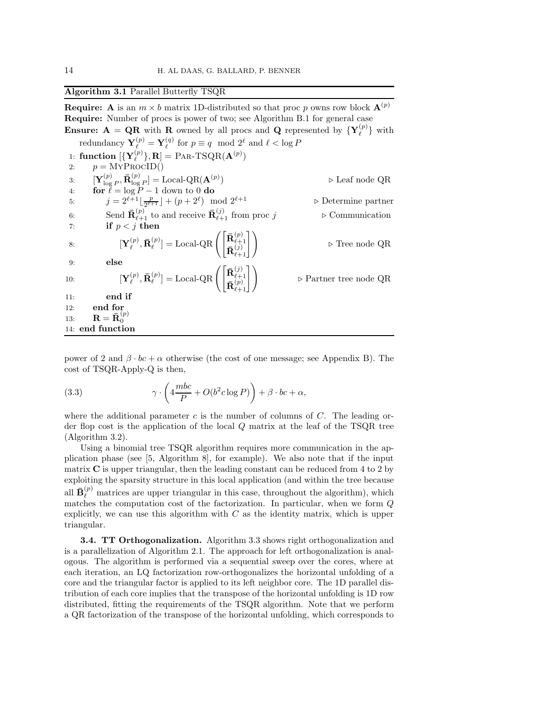# Algorithm 3.1 Parallel Butterfly TSQR

**Require:** A is an  $m \times b$  matrix 1D-distributed so that proc p owns row block  $\mathbf{A}^{(p)}$ Require: Number of procs is power of two; see Algorithm B.1 for general case **Ensure:**  $A = QR$  with R owned by all procs and Q represented by  $\{Y_{\ell}^{(p)}\}$  with redundancy  $\mathbf{Y}_{\ell}^{(p)} = \mathbf{Y}_{\ell}^{(q)}$  for  $p \equiv q \mod 2^{\ell}$  and  $\ell < \log P$ 1: function  $[\{Y_{\ell}^{(p)}\},R] = PAR-TSQR(A^{(p)})$ 2:  $p = \text{MYPROCID}()$ 3:  $\mathbf{Y}_{\text{log}}^{(p)}$  $\mathbf{R}_{\log P}^{(p)}, \mathbf{\bar{R}}_{\log P}^{(p)}]=\operatorname{Local-QR}(\mathbf{A}^{(p)})$ ) ⊲ Leaf node QR 4: for  $\ell = \log P - 1$  down to 0 do 5:  $j = 2^{\ell+1} \lfloor \frac{p}{2^{\ell+1}} \rfloor + (p+2^{\ell})$ ⊳ Determine partner 6: Send  $\bar{\mathbf{R}}_{\ell+1}^{(p)}$  to and receive  $\bar{\mathbf{R}}_{\ell+1}^{(j)}$  from proc j  $\triangleright$  Communication 7: if  $p < j$  then 8:  $\qquad \qquad [\mathbf{Y}_{\ell}^{(p)}]$  $_{\ell}^{(p)},\mathbf{\bar{R}}_{\ell}^{(p)}$  $\mathbf{I}_{\ell}^{(p)}]=\operatorname{Local-QR}\left(\begin{bmatrix} \mathbf{\bar{R}}_{\ell+1}^{(p)} \ \mathbf{\bar{n}}_{\ell+1}^{(p)} \end{bmatrix}\right)$  $\mathbf{\bar{R}}_{\ell+1}^{(j)}$  $\begin{pmatrix} (p) \\ \ell(j) \\ (j) \\ \ell+1 \end{pmatrix}$   $\triangleright$  Tree node QR 9: else 10:  $\left[\mathbf{Y}_{\ell}^{(p)}, \mathbf{\bar{R}}_{\ell}^{(p)}\right]$  $\mathbf{I}_{\ell}^{(p)}]=\operatorname{Local-QR}\left(\begin{bmatrix} \mathbf{\bar{R}}_{\ell+1}^{(j)} \ \mathbf{\bar{n}}_{\ell+1}^{(p)} \end{bmatrix}\right)$  $\frac{\mathbf{R}_{\ell+1}^{(p)}}{\mathbf{R}_{\ell+1}^{(p)}}$  $\triangleright$  Partner tree node QR 11: end if 12: end for 13:  $\mathbf{R} = \mathbf{\bar{R}}_0^{(p)}$  $\mathbf{0}$ 14: end function

power of 2 and  $\beta \cdot bc + \alpha$  otherwise (the cost of one message; see Appendix B). The cost of TSQR-Apply-Q is then,

(3.3) 
$$
\gamma \cdot \left(4 \frac{mbc}{P} + O(b^2 c \log P)\right) + \beta \cdot bc + \alpha,
$$

where the additional parameter  $c$  is the number of columns of  $C$ . The leading order flop cost is the application of the local Q matrix at the leaf of the TSQR tree (Algorithm 3.2).

Using a binomial tree TSQR algorithm requires more communication in the application phase (see [5, Algorithm 8], for example). We also note that if the input matrix C is upper triangular, then the leading constant can be reduced from 4 to 2 by exploiting the sparsity structure in this local application (and within the tree because all  $\bar{\mathbf{B}}_{\ell}^{(p)}$  matrices are upper triangular in this case, throughout the algorithm), which matches the computation cost of the factorization. In particular, when we form Q explicitly, we can use this algorithm with  $C$  as the identity matrix, which is upper triangular.

3.4. TT Orthogonalization. Algorithm 3.3 shows right orthogonalization and is a parallelization of Algorithm 2.1. The approach for left orthogonalization is analogous. The algorithm is performed via a sequential sweep over the cores, where at each iteration, an LQ factorization row-orthogonalizes the horizontal unfolding of a core and the triangular factor is applied to its left neighbor core. The 1D parallel distribution of each core implies that the transpose of the horizontal unfolding is 1D row distributed, fitting the requirements of the TSQR algorithm. Note that we perform a QR factorization of the transpose of the horizontal unfolding, which corresponds to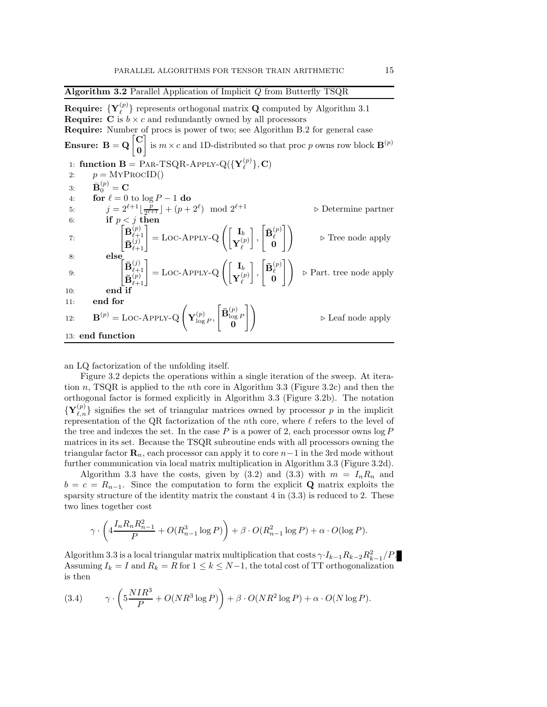Algorithm 3.2 Parallel Application of Implicit Q from Butterfly TSQR **Require:**  $\{Y_{\ell}^{(p)}\}$  represents orthogonal matrix  $Q$  computed by Algorithm 3.1 **Require:**  $\ddot{C}$  is  $b \times c$  and redundantly owned by all processors Require: Number of procs is power of two; see Algorithm B.2 for general case Ensure:  $B = Q \begin{bmatrix} C \\ 0 \end{bmatrix}$ 0 is  $m \times c$  and 1D-distributed so that proc p owns row block  $\mathbf{B}^{(p)}$ 1: function  $\mathbf{B} = \text{PAR-TSQR-APPLY-Q}(\{\mathbf{Y}_{\ell}^{(p)}\}, \mathbf{C})$ 2:  $p = \text{MYPROCID}()$ 3:  $\bar{\mathbf{B}}_0^{(p)} = \mathbf{C}$ 4: for  $\ell = 0$  to  $\log P - 1$  do 5:  $j = 2^{\ell+1} \lfloor \frac{p}{2^{\ell+1}} \rfloor + (p+2^{\ell})$  $\frac{p}{2^{\ell+1}}$  +  $(p+2^{\ell})$  mod  $2^{\ell+1}$   $\triangleright$  Determine partner 6: if  $p < j$  then 7:  $\left[\begin{matrix} \bar{\mathbf{B}}_{\ell+}^{(p)} \\ \bar{\mathbf{B}}_{\ell+}^{(p)} \end{matrix}\right]$  $\mathbf{B}_{\ell+1}^{(j)}$  $\genfrac{(}{)}{}{}{p\choose j}}{\binom{j}{j}}=\mathrm{LOC}\text{-}{\mathrm{APPLY-Q}}\left(\begin{bmatrix}\mathbf{I}_b\ \mathbf{Y}_\ell^{(j)} \end{bmatrix}\right)$  ${\bf Y}^{(p)}_\ell$  ,  $\left[\bar{\mathbf{B}}_{\ell}^{(p)}\right]$  $\begin{bmatrix} \mathbf{v}^{(p)} \\ \mathbf{0} \end{bmatrix}$  > Tree node apply 8: else 9:  $\left[\begin{matrix} \bar{\mathbf{B}}_{\ell+}^{(j)} \\ \bar{\mathbf{B}}_{\ell+}^{(j)} \end{matrix}\right]$  $\mathbf{B}_{\ell+1}^{(p)}$  $\left[\begin{smallmatrix} (j)\ \ell+1\ (p) \end{smallmatrix}\right]=\text{LOC-APPLY-Q}\left(\begin{bmatrix} \mathbf{I}_b\ \mathbf{Y}_\ell^{(p)} \end{bmatrix}\right)$  ${\bf Y}^{(p)}_\ell$  ,  $\left[\bar{\textbf{B}}_{\ell}^{(p)}\right]$  $\begin{bmatrix} 1(p) \\ \ell \end{bmatrix}$   $\triangleright$  Part. tree node apply 10: end if 11: end for 12:  $\mathbf{B}^{(p)} = \text{LOC-APPLY-Q}\left(\mathbf{Y}_{\text{loc}}^{(p)}\right)$  $\frac{(p)}{\log P},$  $\left[\bar{\mathbf{B}}_{\text{log}}^{(p)}\right]$  $\frac{\log P}{0}$ #! <sup>⊲</sup> Leaf node apply 13: end function

an LQ factorization of the unfolding itself.

Figure 3.2 depicts the operations within a single iteration of the sweep. At iteration n, TSQR is applied to the nth core in Algorithm 3.3 (Figure 3.2c) and then the orthogonal factor is formed explicitly in Algorithm 3.3 (Figure 3.2b). The notation  $\{Y_{\ell,n}^{(p)}\}$  signifies the set of triangular matrices owned by processor p in the implicit representation of the QR factorization of the nth core, where  $\ell$  refers to the level of the tree and indexes the set. In the case  $P$  is a power of 2, each processor owns  $\log P$ matrices in its set. Because the TSQR subroutine ends with all processors owning the triangular factor  $\mathbf{R}_n$ , each processor can apply it to core  $n-1$  in the 3rd mode without further communication via local matrix multiplication in Algorithm 3.3 (Figure 3.2d).

Algorithm 3.3 have the costs, given by (3.2) and (3.3) with  $m = I_n R_n$  and  $b = c = R_{n-1}$ . Since the computation to form the explicit Q matrix exploits the sparsity structure of the identity matrix the constant  $4$  in  $(3.3)$  is reduced to 2. These two lines together cost

$$
\gamma \cdot \left(4\frac{I_n R_n R_{n-1}^2}{P} + O(R_{n-1}^3 \log P)\right) + \beta \cdot O(R_{n-1}^2 \log P) + \alpha \cdot O(\log P).
$$

Algorithm 3.3 is a local triangular matrix multiplication that costs  $\gamma I_{k-1}R_{k-2}R_{k-1}^2/P$ . Assuming  $I_k = I$  and  $R_k = R$  for  $1 \leq k \leq N-1$ , the total cost of TT orthogonalization is then

(3.4) 
$$
\gamma \cdot \left(5\frac{NIR^3}{P} + O(NR^3\log P)\right) + \beta \cdot O(NR^2\log P) + \alpha \cdot O(N\log P).
$$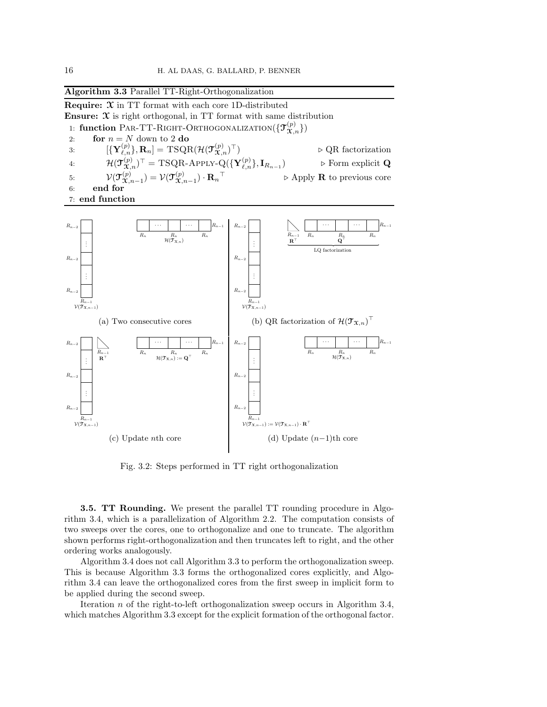

Fig. 3.2: Steps performed in TT right orthogonalization

3.5. TT Rounding. We present the parallel TT rounding procedure in Algorithm 3.4, which is a parallelization of Algorithm 2.2. The computation consists of two sweeps over the cores, one to orthogonalize and one to truncate. The algorithm shown performs right-orthogonalization and then truncates left to right, and the other ordering works analogously.

Algorithm 3.4 does not call Algorithm 3.3 to perform the orthogonalization sweep. This is because Algorithm 3.3 forms the orthogonalized cores explicitly, and Algorithm 3.4 can leave the orthogonalized cores from the first sweep in implicit form to be applied during the second sweep.

Iteration n of the right-to-left orthogonalization sweep occurs in Algorithm 3.4, which matches Algorithm 3.3 except for the explicit formation of the orthogonal factor.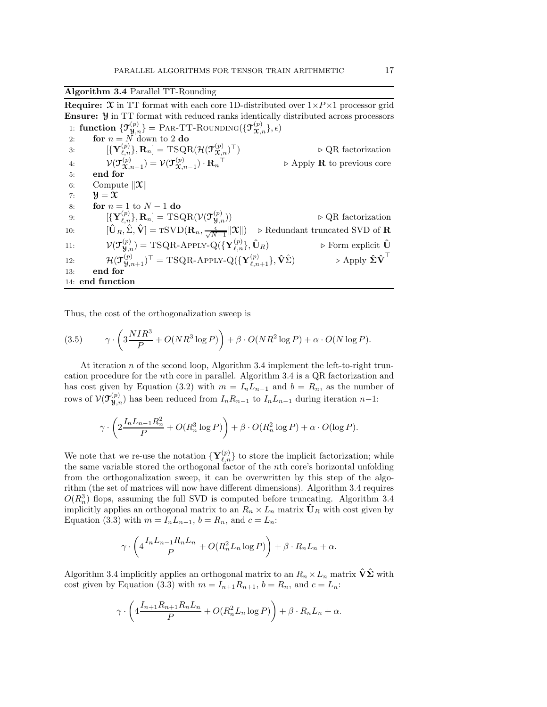Algorithm 3.4 Parallel TT-Rounding

**Require:**  $\mathfrak{X}$  in TT format with each core 1D-distributed over  $1 \times P \times 1$  processor grid Ensure: Y in TT format with reduced ranks identically distributed across processors 1: function  $\{ {\bf \mathfrak{T}}_{\bf \mathfrak{Y},n}^{(p)} \} =$  Par-TT-Rounding $(\{ {\bf \mathfrak{T}}_{\bf \mathfrak{X},n}^{(p)} \},\epsilon)$ 

2: for  $n = N$  down to 2 do 3:  $[\{ {\bf Y}^{(p)}_{\ell,n} \}, {\bf R}_n] = {\rm TSQR}(\mathcal{H}(\mathcal{T}_{\mathcal{X},n}^{(p)})$ ⊤) ⊲ QR factorization 4:  $\mathcal{V}(\mathfrak{I}_{\mathfrak{X},n-1}^{(p)}) = \mathcal{V}(\mathfrak{I}_{\mathfrak{X},n-1}^{(p)}) \cdot \mathbf{R}_n$ <sup>⊤</sup> ⊲ Apply R to previous core 5: end for 6: Compute  $\|\mathbf{x}\|$ 7:  $\mathcal{Y} = \mathcal{X}$ 8: **for**  $n = 1$  to  $N - 1$  do 9:  $\qquad \quad \ \ \left[ \{\mathbf{Y}_{\ell,n}^{(p)}\},\mathbf{R}_n \right] = \mathrm{TSQR}(\mathcal{V}(\mathbf{\mathcal{T}}^{(p)}_{\mathbf{y},n})$ ⊳ QR factorization 10:  $[\hat{\mathbf{U}}_R, \hat{\Sigma}, \hat{\mathbf{V}}] = \text{TSVD}(\mathbf{R}_n, \frac{\epsilon}{\sqrt{N-1}} ||\mathbf{X}||) \Rightarrow \text{Redundant truncated SVD of } \mathbf{R}$  $N-1$ 11:  $\mathcal{V}(\mathcal{T}_{\mathcal{Y},n}^{(p)}) = \text{TSQR-APPLY-Q}(\{\mathbf{Y}_{\ell,n}^{(p)}\}, \hat{\mathbf{U}}_R) \qquad \qquad \triangleright \text{Form explicit } \hat{\mathbf{U}}$ 12:  $\mathcal{H}(\mathbf{\mathcal{T}}^{(p)}_{\mathbf{\mathcal{Y}},n+1})^{\top} = \text{TSQR-APPLY-Q}(\{\mathbf{Y}^{(p)}_{\ell,n+1}\}, \hat{\mathbf{V}}\hat{\Sigma}) \qquad \qquad \triangleright \text{Apply } \hat{\mathbf{\Sigma}}\hat{\mathbf{V}}$ ⊳ Apply  $\hat{\Sigma} \hat{\textbf{V}}^{\top}$ 13: end for 14: end function

Thus, the cost of the orthogonalization sweep is

(3.5) 
$$
\gamma \cdot \left(3 \frac{NIR^3}{P} + O(NR^3 \log P)\right) + \beta \cdot O(NR^2 \log P) + \alpha \cdot O(N \log P).
$$

At iteration n of the second loop, Algorithm 3.4 implement the left-to-right truncation procedure for the nth core in parallel. Algorithm 3.4 is a QR factorization and has cost given by Equation (3.2) with  $m = I_n L_{n-1}$  and  $b = R_n$ , as the number of rows of  $\mathcal{V}(\mathfrak{T}_{\mathfrak{Y},n}^{(p)})$  has been reduced from  $I_n R_{n-1}$  to  $I_n L_{n-1}$  during iteration  $n-1$ :

$$
\gamma \cdot \left(2\frac{I_n L_{n-1} R_n^2}{P} + O(R_n^3 \log P)\right) + \beta \cdot O(R_n^2 \log P) + \alpha \cdot O(\log P).
$$

We note that we re-use the notation  $\{Y_{\ell,n}^{(p)}\}$  to store the implicit factorization; while the same variable stored the orthogonal factor of the nth core's horizontal unfolding from the orthogonalization sweep, it can be overwritten by this step of the algorithm (the set of matrices will now have different dimensions). Algorithm 3.4 requires  $O(R_n^3)$  flops, assuming the full SVD is computed before truncating. Algorithm 3.4 implicitly applies an orthogonal matrix to an  $R_n \times L_n$  matrix  $\hat{\mathbf{U}}_R$  with cost given by Equation (3.3) with  $m = I_n L_{n-1}$ ,  $b = R_n$ , and  $c = L_n$ :

$$
\gamma \cdot \left( 4 \frac{I_n L_{n-1} R_n L_n}{P} + O(R_n^2 L_n \log P) \right) + \beta \cdot R_n L_n + \alpha.
$$

Algorithm 3.4 implicitly applies an orthogonal matrix to an  $R_n \times L_n$  matrix  $\hat{V}\hat{\Sigma}$  with cost given by Equation (3.3) with  $m = I_{n+1}R_{n+1}$ ,  $b = R_n$ , and  $c = L_n$ :

$$
\gamma \cdot \left( 4 \frac{I_{n+1} R_{n+1} R_n L_n}{P} + O(R_n^2 L_n \log P) \right) + \beta \cdot R_n L_n + \alpha.
$$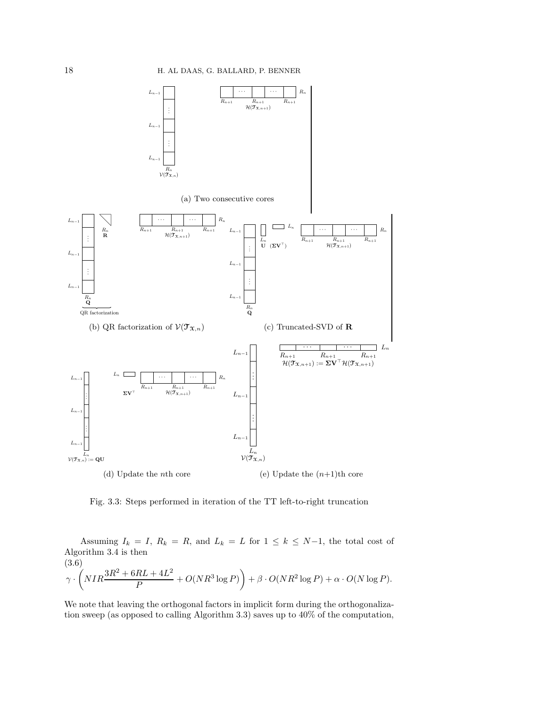

Fig. 3.3: Steps performed in iteration of the TT left-to-right truncation

Assuming  $I_k = I$ ,  $R_k = R$ , and  $L_k = L$  for  $1 \leq k \leq N-1$ , the total cost of Algorithm 3.4 is then  $(3.6)$ 

$$
\gamma \cdot \left( NIR \frac{3R^2 + 6RL + 4L^2}{P} + O(NR^3 \log P) \right) + \beta \cdot O(NR^2 \log P) + \alpha \cdot O(N \log P).
$$

We note that leaving the orthogonal factors in implicit form during the orthogonalization sweep (as opposed to calling Algorithm 3.3) saves up to 40% of the computation,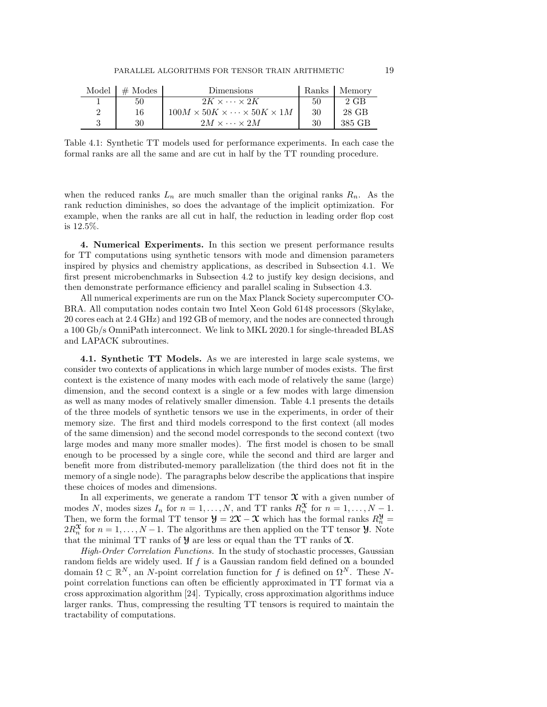| Model | $#$ Modes | Dimensions                                           | Ranks | Memory |
|-------|-----------|------------------------------------------------------|-------|--------|
|       | 50        | $2K \times \cdots \times 2K$                         | 50    | $2$ GB |
| 2     | 16        | $100M \times 50K \times \cdots \times 50K \times 1M$ | 30    | 28 GB  |
|       | 30        | $2M \times \cdots \times 2M$                         | 30    | 385 GB |

Table 4.1: Synthetic TT models used for performance experiments. In each case the formal ranks are all the same and are cut in half by the TT rounding procedure.

when the reduced ranks  $L_n$  are much smaller than the original ranks  $R_n$ . As the rank reduction diminishes, so does the advantage of the implicit optimization. For example, when the ranks are all cut in half, the reduction in leading order flop cost is 12.5%.

4. Numerical Experiments. In this section we present performance results for TT computations using synthetic tensors with mode and dimension parameters inspired by physics and chemistry applications, as described in Subsection 4.1. We first present microbenchmarks in Subsection 4.2 to justify key design decisions, and then demonstrate performance efficiency and parallel scaling in Subsection 4.3.

All numerical experiments are run on the Max Planck Society supercomputer CO-BRA. All computation nodes contain two Intel Xeon Gold 6148 processors (Skylake, 20 cores each at 2.4 GHz) and 192 GB of memory, and the nodes are connected through a 100 Gb/s OmniPath interconnect. We link to MKL 2020.1 for single-threaded BLAS and LAPACK subroutines.

4.1. Synthetic TT Models. As we are interested in large scale systems, we consider two contexts of applications in which large number of modes exists. The first context is the existence of many modes with each mode of relatively the same (large) dimension, and the second context is a single or a few modes with large dimension as well as many modes of relatively smaller dimension. Table 4.1 presents the details of the three models of synthetic tensors we use in the experiments, in order of their memory size. The first and third models correspond to the first context (all modes of the same dimension) and the second model corresponds to the second context (two large modes and many more smaller modes). The first model is chosen to be small enough to be processed by a single core, while the second and third are larger and benefit more from distributed-memory parallelization (the third does not fit in the memory of a single node). The paragraphs below describe the applications that inspire these choices of modes and dimensions.

In all experiments, we generate a random  $TT$  tensor  $\mathcal X$  with a given number of modes N, modes sizes  $I_n$  for  $n = 1, ..., N$ , and TT ranks  $R_n^{\mathfrak{X}}$  for  $n = 1, ..., N - 1$ . Then, we form the formal TT tensor  $\mathcal{Y} = 2\mathcal{X} - \mathcal{X}$  which has the formal ranks  $R_n^{\mathcal{Y}} =$  $2R_n^{\mathfrak{X}}$  for  $n = 1, ..., N-1$ . The algorithms are then applied on the TT tensor **y**. Note that the minimal TT ranks of  $\mathcal Y$  are less or equal than the TT ranks of  $\mathfrak X$ .

High-Order Correlation Functions. In the study of stochastic processes, Gaussian random fields are widely used. If  $f$  is a Gaussian random field defined on a bounded domain  $\Omega \subset \mathbb{R}^N$ , an N-point correlation function for f is defined on  $\Omega^N$ . These Npoint correlation functions can often be efficiently approximated in TT format via a cross approximation algorithm [24]. Typically, cross approximation algorithms induce larger ranks. Thus, compressing the resulting TT tensors is required to maintain the tractability of computations.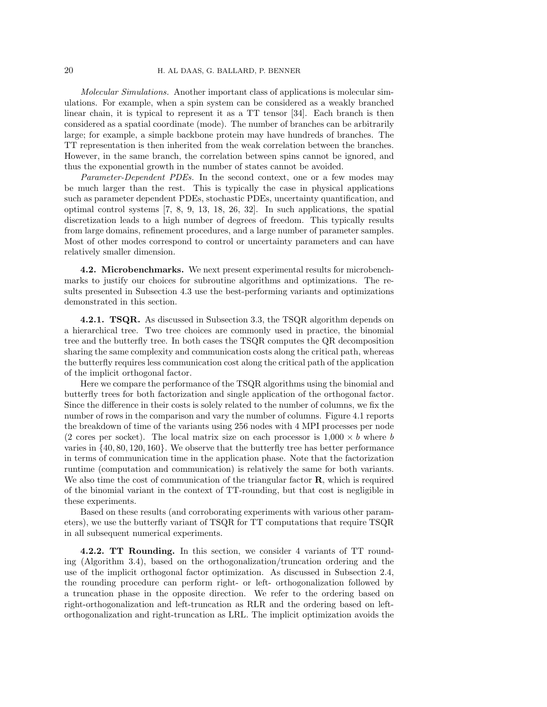Molecular Simulations. Another important class of applications is molecular simulations. For example, when a spin system can be considered as a weakly branched linear chain, it is typical to represent it as a TT tensor [34]. Each branch is then considered as a spatial coordinate (mode). The number of branches can be arbitrarily large; for example, a simple backbone protein may have hundreds of branches. The TT representation is then inherited from the weak correlation between the branches. However, in the same branch, the correlation between spins cannot be ignored, and thus the exponential growth in the number of states cannot be avoided.

Parameter-Dependent PDEs. In the second context, one or a few modes may be much larger than the rest. This is typically the case in physical applications such as parameter dependent PDEs, stochastic PDEs, uncertainty quantification, and optimal control systems [7, 8, 9, 13, 18, 26, 32]. In such applications, the spatial discretization leads to a high number of degrees of freedom. This typically results from large domains, refinement procedures, and a large number of parameter samples. Most of other modes correspond to control or uncertainty parameters and can have relatively smaller dimension.

4.2. Microbenchmarks. We next present experimental results for microbenchmarks to justify our choices for subroutine algorithms and optimizations. The results presented in Subsection 4.3 use the best-performing variants and optimizations demonstrated in this section.

**4.2.1. TSQR.** As discussed in Subsection 3.3, the TSQR algorithm depends on a hierarchical tree. Two tree choices are commonly used in practice, the binomial tree and the butterfly tree. In both cases the TSQR computes the QR decomposition sharing the same complexity and communication costs along the critical path, whereas the butterfly requires less communication cost along the critical path of the application of the implicit orthogonal factor.

Here we compare the performance of the TSQR algorithms using the binomial and butterfly trees for both factorization and single application of the orthogonal factor. Since the difference in their costs is solely related to the number of columns, we fix the number of rows in the comparison and vary the number of columns. Figure 4.1 reports the breakdown of time of the variants using 256 nodes with 4 MPI processes per node (2 cores per socket). The local matrix size on each processor is  $1,000 \times b$  where b varies in {40, 80, 120, 160}. We observe that the butterfly tree has better performance in terms of communication time in the application phase. Note that the factorization runtime (computation and communication) is relatively the same for both variants. We also time the cost of communication of the triangular factor **, which is required** of the binomial variant in the context of TT-rounding, but that cost is negligible in these experiments.

Based on these results (and corroborating experiments with various other parameters), we use the butterfly variant of TSQR for TT computations that require TSQR in all subsequent numerical experiments.

4.2.2. TT Rounding. In this section, we consider 4 variants of TT rounding (Algorithm 3.4), based on the orthogonalization/truncation ordering and the use of the implicit orthogonal factor optimization. As discussed in Subsection 2.4, the rounding procedure can perform right- or left- orthogonalization followed by a truncation phase in the opposite direction. We refer to the ordering based on right-orthogonalization and left-truncation as RLR and the ordering based on leftorthogonalization and right-truncation as LRL. The implicit optimization avoids the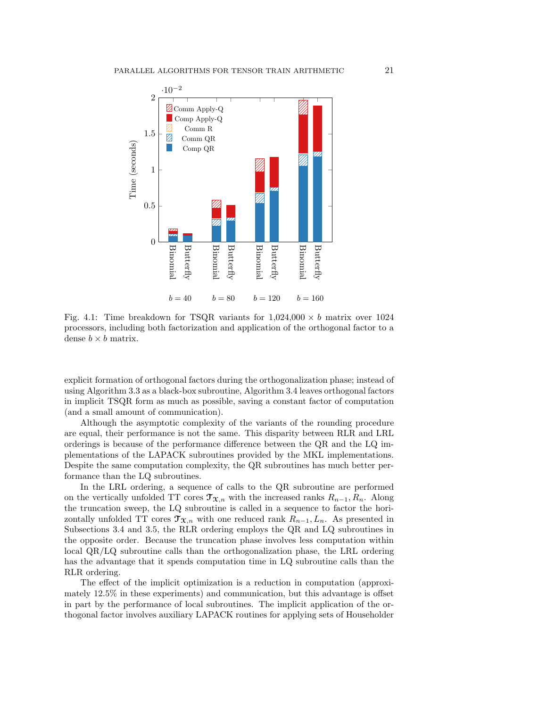

Fig. 4.1: Time breakdown for TSQR variants for  $1,024,000 \times b$  matrix over 1024 processors, including both factorization and application of the orthogonal factor to a dense  $b \times b$  matrix.

explicit formation of orthogonal factors during the orthogonalization phase; instead of using Algorithm 3.3 as a black-box subroutine, Algorithm 3.4 leaves orthogonal factors in implicit TSQR form as much as possible, saving a constant factor of computation (and a small amount of communication).

Although the asymptotic complexity of the variants of the rounding procedure are equal, their performance is not the same. This disparity between RLR and LRL orderings is because of the performance difference between the QR and the LQ implementations of the LAPACK subroutines provided by the MKL implementations. Despite the same computation complexity, the QR subroutines has much better performance than the LQ subroutines.

In the LRL ordering, a sequence of calls to the QR subroutine are performed on the vertically unfolded TT cores  $\mathcal{T}_{\mathfrak{X},n}$  with the increased ranks  $R_{n-1}, R_n$ . Along the truncation sweep, the LQ subroutine is called in a sequence to factor the horizontally unfolded TT cores  $\mathfrak{T}_{\mathfrak{X},n}$  with one reduced rank  $R_{n-1}, L_n$ . As presented in Subsections 3.4 and 3.5, the RLR ordering employs the QR and LQ subroutines in the opposite order. Because the truncation phase involves less computation within local QR/LQ subroutine calls than the orthogonalization phase, the LRL ordering has the advantage that it spends computation time in LQ subroutine calls than the RLR ordering.

The effect of the implicit optimization is a reduction in computation (approximately 12.5% in these experiments) and communication, but this advantage is offset in part by the performance of local subroutines. The implicit application of the orthogonal factor involves auxiliary LAPACK routines for applying sets of Householder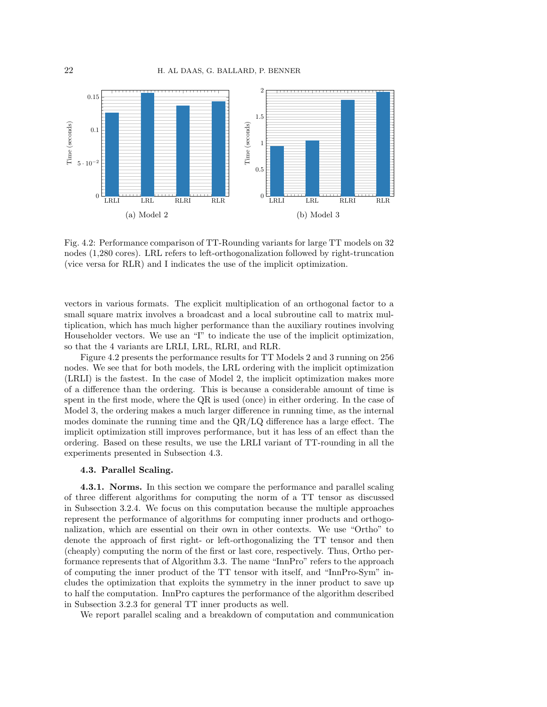

Fig. 4.2: Performance comparison of TT-Rounding variants for large TT models on 32 nodes (1,280 cores). LRL refers to left-orthogonalization followed by right-truncation (vice versa for RLR) and I indicates the use of the implicit optimization.

vectors in various formats. The explicit multiplication of an orthogonal factor to a small square matrix involves a broadcast and a local subroutine call to matrix multiplication, which has much higher performance than the auxiliary routines involving Householder vectors. We use an "I" to indicate the use of the implicit optimization, so that the 4 variants are LRLI, LRL, RLRI, and RLR.

Figure 4.2 presents the performance results for TT Models 2 and 3 running on 256 nodes. We see that for both models, the LRL ordering with the implicit optimization (LRLI) is the fastest. In the case of Model 2, the implicit optimization makes more of a difference than the ordering. This is because a considerable amount of time is spent in the first mode, where the QR is used (once) in either ordering. In the case of Model 3, the ordering makes a much larger difference in running time, as the internal modes dominate the running time and the QR/LQ difference has a large effect. The implicit optimization still improves performance, but it has less of an effect than the ordering. Based on these results, we use the LRLI variant of TT-rounding in all the experiments presented in Subsection 4.3.

### 4.3. Parallel Scaling.

4.3.1. Norms. In this section we compare the performance and parallel scaling of three different algorithms for computing the norm of a TT tensor as discussed in Subsection 3.2.4. We focus on this computation because the multiple approaches represent the performance of algorithms for computing inner products and orthogonalization, which are essential on their own in other contexts. We use "Ortho" to denote the approach of first right- or left-orthogonalizing the TT tensor and then (cheaply) computing the norm of the first or last core, respectively. Thus, Ortho performance represents that of Algorithm 3.3. The name "InnPro" refers to the approach of computing the inner product of the TT tensor with itself, and "InnPro-Sym" includes the optimization that exploits the symmetry in the inner product to save up to half the computation. InnPro captures the performance of the algorithm described in Subsection 3.2.3 for general TT inner products as well.

We report parallel scaling and a breakdown of computation and communication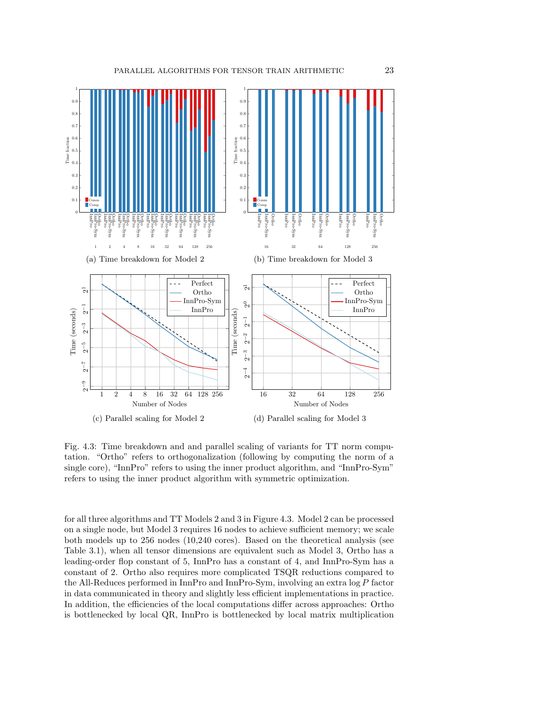

Fig. 4.3: Time breakdown and and parallel scaling of variants for TT norm computation. "Ortho" refers to orthogonalization (following by computing the norm of a single core), "InnPro" refers to using the inner product algorithm, and "InnPro-Sym" refers to using the inner product algorithm with symmetric optimization.

for all three algorithms and TT Models 2 and 3 in Figure 4.3. Model 2 can be processed on a single node, but Model 3 requires 16 nodes to achieve sufficient memory; we scale both models up to 256 nodes (10,240 cores). Based on the theoretical analysis (see Table 3.1), when all tensor dimensions are equivalent such as Model 3, Ortho has a leading-order flop constant of 5, InnPro has a constant of 4, and InnPro-Sym has a constant of 2. Ortho also requires more complicated TSQR reductions compared to the All-Reduces performed in InnPro and InnPro-Sym, involving an extra log P factor in data communicated in theory and slightly less efficient implementations in practice. In addition, the efficiencies of the local computations differ across approaches: Ortho is bottlenecked by local QR, InnPro is bottlenecked by local matrix multiplication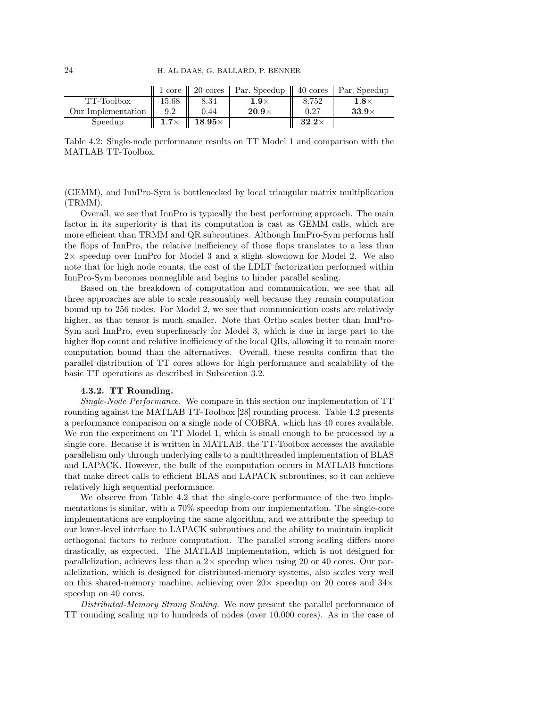|                    |             |                            | 1 core   20 cores   Par. Speedup   40 cores   Par. Speedup |              |              |
|--------------------|-------------|----------------------------|------------------------------------------------------------|--------------|--------------|
| TT-Toolbox         | 15.68       | 8.34                       | $1.9\times$                                                | 8.752        | $1.8\times$  |
| Our Implementation | 9.2         | 0.44                       | $20.9\times$                                               | 0.27         | $33.9\times$ |
| Speedup            | $1.7\times$ | $\parallel$ 18.95 $\times$ |                                                            | $32.2\times$ |              |

Table 4.2: Single-node performance results on TT Model 1 and comparison with the MATLAB TT-Toolbox.

(GEMM), and InnPro-Sym is bottlenecked by local triangular matrix multiplication (TRMM).

Overall, we see that InnPro is typically the best performing approach. The main factor in its superiority is that its computation is cast as GEMM calls, which are more efficient than TRMM and QR subroutines. Although InnPro-Sym performs half the flops of InnPro, the relative inefficiency of those flops translates to a less than 2× speedup over InnPro for Model 3 and a slight slowdown for Model 2. We also note that for high node counts, the cost of the LDLT factorization performed within InnPro-Sym becomes nonneglible and begins to hinder parallel scaling.

Based on the breakdown of computation and communication, we see that all three approaches are able to scale reasonably well because they remain computation bound up to 256 nodes. For Model 2, we see that communication costs are relatively higher, as that tensor is much smaller. Note that Ortho scales better than InnPro-Sym and InnPro, even superlinearly for Model 3, which is due in large part to the higher flop count and relative inefficiency of the local QRs, allowing it to remain more computation bound than the alternatives. Overall, these results confirm that the parallel distribution of TT cores allows for high performance and scalability of the basic TT operations as described in Subsection 3.2.

### 4.3.2. TT Rounding.

Single-Node Performance. We compare in this section our implementation of TT rounding against the MATLAB TT-Toolbox [28] rounding process. Table 4.2 presents a performance comparison on a single node of COBRA, which has 40 cores available. We run the experiment on TT Model 1, which is small enough to be processed by a single core. Because it is written in MATLAB, the TT-Toolbox accesses the available parallelism only through underlying calls to a multithreaded implementation of BLAS and LAPACK. However, the bulk of the computation occurs in MATLAB functions that make direct calls to efficient BLAS and LAPACK subroutines, so it can achieve relatively high sequential performance.

We observe from Table 4.2 that the single-core performance of the two implementations is similar, with a 70% speedup from our implementation. The single-core implementations are employing the same algorithm, and we attribute the speedup to our lower-level interface to LAPACK subroutines and the ability to maintain implicit orthogonal factors to reduce computation. The parallel strong scaling differs more drastically, as expected. The MATLAB implementation, which is not designed for parallelization, achieves less than a  $2\times$  speedup when using 20 or 40 cores. Our parallelization, which is designed for distributed-memory systems, also scales very well on this shared-memory machine, achieving over  $20\times$  speedup on 20 cores and  $34\times$ speedup on 40 cores.

Distributed-Memory Strong Scaling. We now present the parallel performance of TT rounding scaling up to hundreds of nodes (over 10,000 cores). As in the case of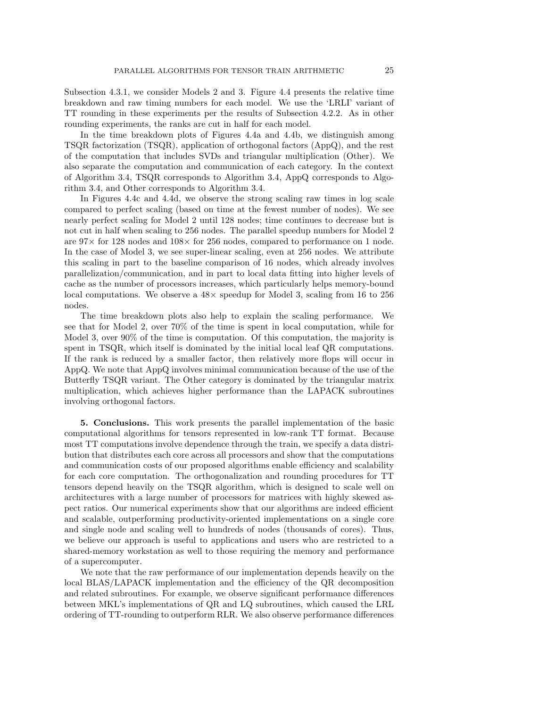Subsection 4.3.1, we consider Models 2 and 3. Figure 4.4 presents the relative time breakdown and raw timing numbers for each model. We use the 'LRLI' variant of TT rounding in these experiments per the results of Subsection 4.2.2. As in other rounding experiments, the ranks are cut in half for each model.

In the time breakdown plots of Figures 4.4a and 4.4b, we distinguish among TSQR factorization (TSQR), application of orthogonal factors (AppQ), and the rest of the computation that includes SVDs and triangular multiplication (Other). We also separate the computation and communication of each category. In the context of Algorithm 3.4, TSQR corresponds to Algorithm 3.4, AppQ corresponds to Algorithm 3.4, and Other corresponds to Algorithm 3.4.

In Figures 4.4c and 4.4d, we observe the strong scaling raw times in log scale compared to perfect scaling (based on time at the fewest number of nodes). We see nearly perfect scaling for Model 2 until 128 nodes; time continues to decrease but is not cut in half when scaling to 256 nodes. The parallel speedup numbers for Model 2 are  $97\times$  for 128 nodes and  $108\times$  for 256 nodes, compared to performance on 1 node. In the case of Model 3, we see super-linear scaling, even at 256 nodes. We attribute this scaling in part to the baseline comparison of 16 nodes, which already involves parallelization/communication, and in part to local data fitting into higher levels of cache as the number of processors increases, which particularly helps memory-bound local computations. We observe a  $48\times$  speedup for Model 3, scaling from 16 to 256 nodes.

The time breakdown plots also help to explain the scaling performance. We see that for Model 2, over 70% of the time is spent in local computation, while for Model 3, over 90% of the time is computation. Of this computation, the majority is spent in TSQR, which itself is dominated by the initial local leaf QR computations. If the rank is reduced by a smaller factor, then relatively more flops will occur in AppQ. We note that AppQ involves minimal communication because of the use of the Butterfly TSQR variant. The Other category is dominated by the triangular matrix multiplication, which achieves higher performance than the LAPACK subroutines involving orthogonal factors.

5. Conclusions. This work presents the parallel implementation of the basic computational algorithms for tensors represented in low-rank TT format. Because most TT computations involve dependence through the train, we specify a data distribution that distributes each core across all processors and show that the computations and communication costs of our proposed algorithms enable efficiency and scalability for each core computation. The orthogonalization and rounding procedures for TT tensors depend heavily on the TSQR algorithm, which is designed to scale well on architectures with a large number of processors for matrices with highly skewed aspect ratios. Our numerical experiments show that our algorithms are indeed efficient and scalable, outperforming productivity-oriented implementations on a single core and single node and scaling well to hundreds of nodes (thousands of cores). Thus, we believe our approach is useful to applications and users who are restricted to a shared-memory workstation as well to those requiring the memory and performance of a supercomputer.

We note that the raw performance of our implementation depends heavily on the local BLAS/LAPACK implementation and the efficiency of the QR decomposition and related subroutines. For example, we observe significant performance differences between MKL's implementations of QR and LQ subroutines, which caused the LRL ordering of TT-rounding to outperform RLR. We also observe performance differences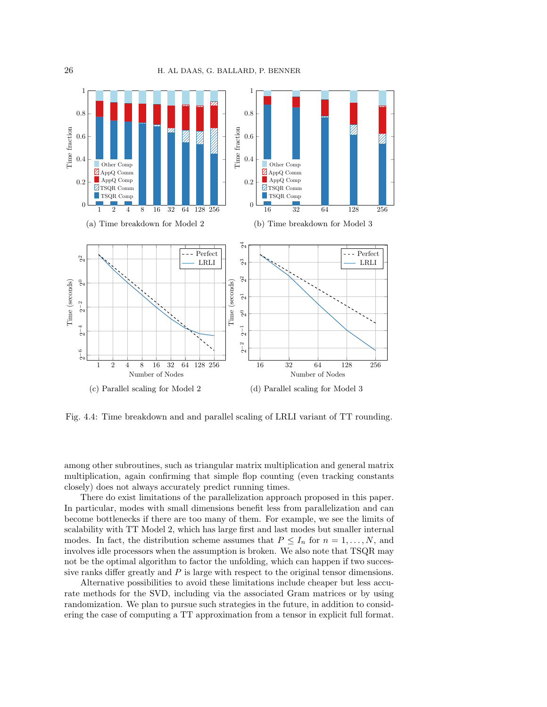

Fig. 4.4: Time breakdown and and parallel scaling of LRLI variant of TT rounding.

among other subroutines, such as triangular matrix multiplication and general matrix multiplication, again confirming that simple flop counting (even tracking constants closely) does not always accurately predict running times.

There do exist limitations of the parallelization approach proposed in this paper. In particular, modes with small dimensions benefit less from parallelization and can become bottlenecks if there are too many of them. For example, we see the limits of scalability with TT Model 2, which has large first and last modes but smaller internal modes. In fact, the distribution scheme assumes that  $P \leq I_n$  for  $n = 1, ..., N$ , and involves idle processors when the assumption is broken. We also note that TSQR may not be the optimal algorithm to factor the unfolding, which can happen if two successive ranks differ greatly and  $P$  is large with respect to the original tensor dimensions.

Alternative possibilities to avoid these limitations include cheaper but less accurate methods for the SVD, including via the associated Gram matrices or by using randomization. We plan to pursue such strategies in the future, in addition to considering the case of computing a TT approximation from a tensor in explicit full format.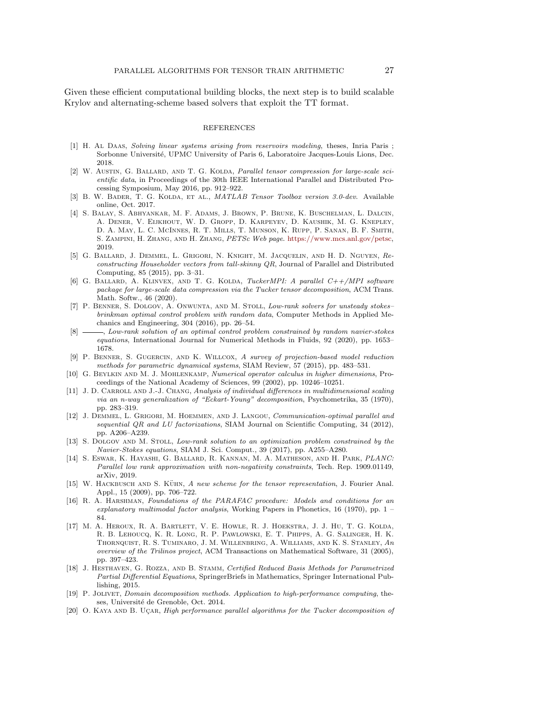Given these efficient computational building blocks, the next step is to build scalable Krylov and alternating-scheme based solvers that exploit the TT format.

#### REFERENCES

- [1] H. At DAAS, Solving linear systems arising from reservoirs modeling, theses, Inria Paris; Sorbonne Université, UPMC University of Paris 6, Laboratoire Jacques-Louis Lions, Dec. 2018.
- [2] W. AUSTIN, G. BALLARD, AND T. G. KOLDA, Parallel tensor compression for large-scale scientific data, in Proceedings of the 30th IEEE International Parallel and Distributed Processing Symposium, May 2016, pp. 912–922.
- [3] B. W. BADER, T. G. KOLDA, ET AL., *MATLAB Tensor Toolbox version 3.0-dev.* Available online, Oct. 2017.
- [4] S. Balay, S. Abhyankar, M. F. Adams, J. Brown, P. Brune, K. Buschelman, L. Dalcin, A. Dener, V. Eijkhout, W. D. Gropp, D. Karpeyev, D. Kaushik, M. G. Knepley, D. A. May, L. C. McInnes, R. T. Mills, T. Munson, K. Rupp, P. Sanan, B. F. Smith, S. Zampini, H. Zhang, and H. Zhang, PETSc Web page. [https://www.mcs.anl.gov/petsc,](https://www.mcs.anl.gov/petsc) 2019.
- [5] G. Ballard, J. Demmel, L. Grigori, N. Knight, M. Jacquelin, and H. D. Nguyen, Reconstructing Householder vectors from tall-skinny QR, Journal of Parallel and Distributed Computing, 85 (2015), pp. 3–31.
- [6] G. Ballard, A. Klinvex, and T. G. Kolda, TuckerMPI: A parallel C++/MPI software package for large-scale data compression via the Tucker tensor decomposition, ACM Trans. Math. Softw., 46 (2020).
- [7] P. BENNER, S. DOLGOV, A. ONWUNTA, AND M. STOLL, Low-rank solvers for unsteady stokes– brinkman optimal control problem with random data, Computer Methods in Applied Mechanics and Engineering, 304 (2016), pp. 26–54.
- [8]  $\longrightarrow$ , Low-rank solution of an optimal control problem constrained by random navier-stokes equations, International Journal for Numerical Methods in Fluids, 92 (2020), pp. 1653– 1678.
- [9] P. Benner, S. Gugercin, and K. Willcox, A survey of projection-based model reduction methods for parametric dynamical systems, SIAM Review, 57 (2015), pp. 483–531.
- [10] G. Beylkin and M. J. Mohlenkamp, Numerical operator calculus in higher dimensions, Proceedings of the National Academy of Sciences, 99 (2002), pp. 10246–10251.
- [11] J. D. CARROLL AND J.-J. CHANG, Analysis of individual differences in multidimensional scaling via an n-way generalization of "Eckart-Young" decomposition, Psychometrika, 35 (1970), pp. 283–319.
- [12] J. DEMMEL, L. GRIGORI, M. HOEMMEN, AND J. LANGOU, Communication-optimal parallel and sequential QR and LU factorizations, SIAM Journal on Scientific Computing, 34 (2012), pp. A206–A239.
- [13] S. DOLGOV AND M. STOLL, Low-rank solution to an optimization problem constrained by the Navier-Stokes equations, SIAM J. Sci. Comput., 39 (2017), pp. A255–A280.
- [14] S. Eswar, K. Hayashi, G. Ballard, R. Kannan, M. A. Matheson, and H. Park, PLANC: Parallel low rank approximation with non-negativity constraints, Tech. Rep. 1909.01149, arXiv, 2019.
- [15] W. HACKBUSCH AND S. KÜHN, A new scheme for the tensor representation, J. Fourier Anal. Appl., 15 (2009), pp. 706–722.
- [16] R. A. Harshman, Foundations of the PARAFAC procedure: Models and conditions for an explanatory multimodal factor analysis, Working Papers in Phonetics, 16 (1970), pp.  $1$  – 84.
- [17] M. A. Heroux, R. A. Bartlett, V. E. Howle, R. J. Hoekstra, J. J. Hu, T. G. Kolda, R. B. Lehoucq, K. R. Long, R. P. Pawlowski, E. T. Phipps, A. G. Salinger, H. K. Thornquist, R. S. Tuminaro, J. M. Willenbring, A. Williams, and K. S. Stanley, An overview of the Trilinos project, ACM Transactions on Mathematical Software, 31 (2005), pp. 397–423.
- [18] J. Hesthaven, G. Rozza, and B. Stamm, Certified Reduced Basis Methods for Parametrized Partial Differential Equations, SpringerBriefs in Mathematics, Springer International Publishing, 2015.
- [19] P. Jolivet, Domain decomposition methods. Application to high-performance computing, theses, Université de Grenoble, Oct. 2014.
- [20] O. KAYA AND B. UCAR, High performance parallel algorithms for the Tucker decomposition of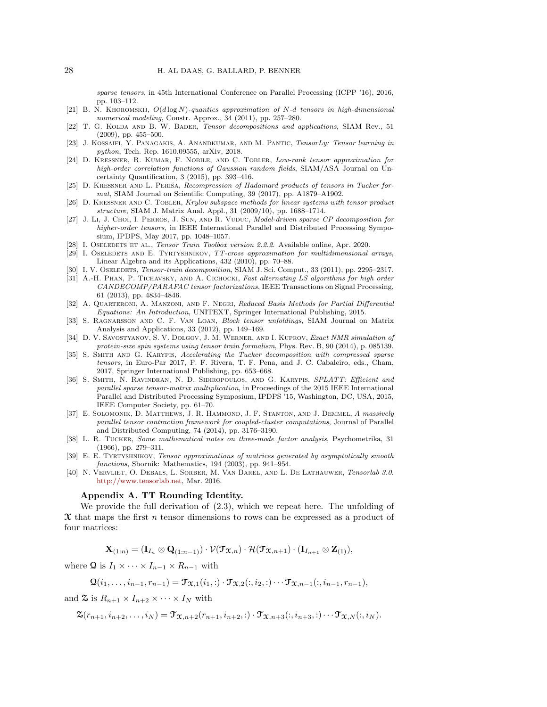sparse tensors, in 45th International Conference on Parallel Processing (ICPP '16), 2016, pp. 103–112.

- [21] B. N. KHOROMSKIJ,  $O(d \log N)$ -quantics approximation of N-d tensors in high-dimensional numerical modeling, Constr. Approx., 34 (2011), pp. 257–280.
- [22] T. G. KOLDA AND B. W. BADER, Tensor decompositions and applications, SIAM Rev., 51 (2009), pp. 455–500.
- [23] J. Kossaifi, Y. Panagakis, A. Anandkumar, and M. Pantic, TensorLy: Tensor learning in python, Tech. Rep. 1610.09555, arXiv, 2018.
- [24] D. Kressner, R. Kumar, F. Nobile, and C. Tobler, Low-rank tensor approximation for high-order correlation functions of Gaussian random fields, SIAM/ASA Journal on Uncertainty Quantification, 3 (2015), pp. 393–416.
- [25] D. KRESSNER AND L. PERIŠA, Recompression of Hadamard products of tensors in Tucker format, SIAM Journal on Scientific Computing, 39 (2017), pp. A1879–A1902.
- [26] D. KRESSNER AND C. TOBLER, Krylov subspace methods for linear systems with tensor product structure, SIAM J. Matrix Anal. Appl., 31 (2009/10), pp. 1688–1714.
- [27] J. Li, J. Choi, I. Perros, J. Sun, and R. Vuduc, Model-driven sparse CP decomposition for higher-order tensors, in IEEE International Parallel and Distributed Processing Symposium, IPDPS, May 2017, pp. 1048–1057.
- [28] I. OSELEDETS ET AL., Tensor Train Toolbox version 2.2.2. Available online, Apr. 2020.
- [29] I. OSELEDETS AND E. TYRTYSHNIKOV, TT-cross approximation for multidimensional arrays, Linear Algebra and its Applications, 432 (2010), pp. 70–88.
- [30] I. V. OSELEDETS, *Tensor-train decomposition*, SIAM J. Sci. Comput., 33 (2011), pp. 2295–2317.
- [31] A.-H. PHAN, P. TICHAVSKY, AND A. CICHOCKI, Fast alternating LS algorithms for high order CANDECOMP/PARAFAC tensor factorizations, IEEE Transactions on Signal Processing, 61 (2013), pp. 4834–4846.
- [32] A. Quarteroni, A. Manzoni, and F. Negri, Reduced Basis Methods for Partial Differential Equations: An Introduction, UNITEXT, Springer International Publishing, 2015.
- [33] S. RAGNARSSON AND C. F. VAN LOAN, *Block tensor unfoldings*, SIAM Journal on Matrix Analysis and Applications, 33 (2012), pp. 149–169.
- [34] D. V. Savostyanov, S. V. Dolgov, J. M. Werner, and I. Kuprov, Exact NMR simulation of protein-size spin systems using tensor train formalism, Phys. Rev. B, 90 (2014), p. 085139.
- [35] S. Smith and G. Karypis, Accelerating the Tucker decomposition with compressed sparse tensors, in Euro-Par 2017, F. F. Rivera, T. F. Pena, and J. C. Cabaleiro, eds., Cham, 2017, Springer International Publishing, pp. 653–668.
- [36] S. Smith, N. Ravindran, N. D. Sidiropoulos, and G. Karypis, SPLATT: Efficient and parallel sparse tensor-matrix multiplication, in Proceedings of the 2015 IEEE International Parallel and Distributed Processing Symposium, IPDPS '15, Washington, DC, USA, 2015, IEEE Computer Society, pp. 61–70.
- [37] E. SOLOMONIK, D. MATTHEWS, J. R. HAMMOND, J. F. STANTON, AND J. DEMMEL, A massively parallel tensor contraction framework for coupled-cluster computations, Journal of Parallel and Distributed Computing, 74 (2014), pp. 3176–3190.
- [38] L. R. Tucker, Some mathematical notes on three-mode factor analysis, Psychometrika, 31 (1966), pp. 279–311.
- [39] E. E. Tyrtyshnikov, Tensor approximations of matrices generated by asymptotically smooth functions, Sbornik: Mathematics, 194 (2003), pp. 941–954.
- [40] N. Vervliet, O. Debals, L. Sorber, M. Van Barel, and L. De Lathauwer, Tensorlab 3.0. [http://www.tensorlab.net,](http://www.tensorlab.net) Mar. 2016.

### Appendix A. TT Rounding Identity.

We provide the full derivation of (2.3), which we repeat here. The unfolding of  $\mathfrak X$  that maps the first n tensor dimensions to rows can be expressed as a product of four matrices:

 $\mathbf{X}_{(1:n)} = (\mathbf{I}_{I_n} \otimes \mathbf{Q}_{(1:n-1)}) \cdot \mathcal{V}(\mathbf{T}_{\mathbf{X},n}) \cdot \mathcal{H}(\mathbf{T}_{\mathbf{X},n+1}) \cdot (\mathbf{I}_{I_{n+1}} \otimes \mathbf{Z}_{(1)}),$ 

where Q is  $I_1 \times \cdots \times I_{n-1} \times R_{n-1}$  with

 $\mathbf{Q}(i_1, \ldots, i_{n-1}, r_{n-1}) = \mathbf{\mathcal{T}}_{\mathbf{X},1}(i_1, \cdot) \cdot \mathbf{\mathcal{T}}_{\mathbf{X},2}(i, i_2, \cdot) \cdots \mathbf{\mathcal{T}}_{\mathbf{X},n-1}(i, i_{n-1}, r_{n-1}),$ 

and  $\mathfrak{S}$  is  $R_{n+1} \times I_{n+2} \times \cdots \times I_N$  with

 $\mathfrak{X}(r_{n+1}, i_{n+2}, \ldots, i_N) = \mathfrak{T}_{\mathfrak{X},n+2}(r_{n+1}, i_{n+2}, \cdot) \cdot \mathfrak{T}_{\mathfrak{X},n+3}(i, i_{n+3}, \cdot) \cdots \mathfrak{T}_{\mathfrak{X},N}(i, i_N).$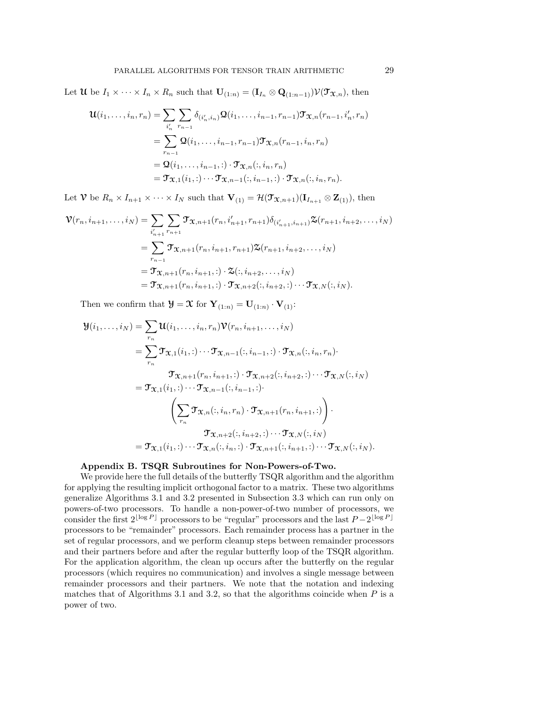Let  $\mathcal{U}$  be  $I_1 \times \cdots \times I_n \times R_n$  such that  $\mathbf{U}_{(1:n)} = (\mathbf{I}_{I_n} \otimes \mathbf{Q}_{(1:n-1)}) \mathcal{V}(\mathcal{T}_{\mathfrak{X},n})$ , then

$$
\mathbf{u}(i_1, \ldots, i_n, r_n) = \sum_{i'_n} \sum_{r_{n-1}} \delta_{(i'_n, i_n)} \mathbf{\Omega}(i_1, \ldots, i_{n-1}, r_{n-1}) \mathbf{\mathcal{T}}_{\mathbf{X},n}(r_{n-1}, i'_n, r_n)
$$
  
= 
$$
\sum_{r_{n-1}} \mathbf{\Omega}(i_1, \ldots, i_{n-1}, r_{n-1}) \mathbf{\mathcal{T}}_{\mathbf{X},n}(r_{n-1}, i_n, r_n)
$$
  
= 
$$
\mathbf{\Omega}(i_1, \ldots, i_{n-1}, :) \cdot \mathbf{\mathcal{T}}_{\mathbf{X},n}(:, i_n, r_n)
$$
  
= 
$$
\mathbf{\mathcal{T}}_{\mathbf{X},1}(i_1, :) \cdots \mathbf{\mathcal{T}}_{\mathbf{X},n-1}(:, i_{n-1}, :) \cdot \mathbf{\mathcal{T}}_{\mathbf{X},n}(:, i_n, r_n).
$$

Let  $\mathcal V$  be  $R_n \times I_{n+1} \times \cdots \times I_N$  such that  $\mathbf V_{(1)} = \mathcal H(\mathcal T_{\mathcal X,n+1})(\mathbf I_{I_{n+1}} \otimes \mathbf Z_{(1)})$ , then

$$
\mathbf{\mathcal{V}}(r_n, i_{n+1}, \dots, i_N) = \sum_{i'_{n+1}} \sum_{r_{n+1}} \mathbf{\mathcal{T}}_{\mathbf{\mathcal{X}},n+1}(r_n, i'_{n+1}, r_{n+1}) \delta_{(i'_{n+1}, i_{n+1})} \mathbf{\mathcal{Z}}(r_{n+1}, i_{n+2}, \dots, i_N)
$$
  
\n
$$
= \sum_{r_{n-1}} \mathbf{\mathcal{T}}_{\mathbf{\mathcal{X}},n+1}(r_n, i_{n+1}, r_{n+1}) \mathbf{\mathcal{Z}}(r_{n+1}, i_{n+2}, \dots, i_N)
$$
  
\n
$$
= \mathbf{\mathcal{T}}_{\mathbf{\mathcal{X}},n+1}(r_n, i_{n+1}, \dots) \cdot \mathbf{\mathcal{Z}}(:, i_{n+2}, \dots, i_N)
$$
  
\n
$$
= \mathbf{\mathcal{T}}_{\mathbf{\mathcal{X}},n+1}(r_n, i_{n+1}, \dots) \cdot \mathbf{\mathcal{T}}_{\mathbf{\mathcal{X}},n+2}(:, i_{n+2}, \dots) \cdot \mathbf{\mathcal{T}}_{\mathbf{\mathcal{X}},N}(:, i_N).
$$

Then we confirm that  $\mathbf{\mathcal{Y}} = \mathbf{\mathcal{X}}$  for  $\mathbf{Y}_{(1:n)} = \mathbf{U}_{(1:n)} \cdot \mathbf{V}_{(1)}$ :

$$
\mathcal{Y}(i_1,\ldots,i_N) = \sum_{r_n} \mathcal{U}(i_1,\ldots,i_n,r_n) \mathcal{V}(r_n,i_{n+1},\ldots,i_N)
$$
  
\n
$$
= \sum_{r_n} \mathcal{T}_{\mathfrak{X},1}(i_1,:)\cdots\mathcal{T}_{\mathfrak{X},n-1}(:,i_{n-1},:)\cdot\mathcal{T}_{\mathfrak{X},n}(:,i_n,r_n)
$$
  
\n
$$
\mathcal{T}_{\mathfrak{X},n+1}(r_n,i_{n+1},:)\cdot\mathcal{T}_{\mathfrak{X},n+2}(:,i_{n+2},:)\cdots\mathcal{T}_{\mathfrak{X},N}(:,i_N)
$$
  
\n
$$
= \mathcal{T}_{\mathfrak{X},1}(i_1,:)\cdots\mathcal{T}_{\mathfrak{X},n-1}(:,i_{n-1},:)
$$
  
\n
$$
\left(\sum_{r_n} \mathcal{T}_{\mathfrak{X},n}(:,i_n,r_n)\cdot\mathcal{T}_{\mathfrak{X},n+1}(r_n,i_{n+1},:)\right)\cdot
$$
  
\n
$$
\mathcal{T}_{\mathfrak{X},n+2}(:,i_{n+2},:)\cdots\mathcal{T}_{\mathfrak{X},N}(:,i_N)
$$
  
\n
$$
= \mathcal{T}_{\mathfrak{X},1}(i_1,:)\cdots\mathcal{T}_{\mathfrak{X},n}(:,i_n,:)\cdot\mathcal{T}_{\mathfrak{X},n+1}(:,i_{n+1},:)\cdots\mathcal{T}_{\mathfrak{X},N}(:,i_N).
$$

### Appendix B. TSQR Subroutines for Non-Powers-of-Two.

We provide here the full details of the butterfly TSQR algorithm and the algorithm for applying the resulting implicit orthogonal factor to a matrix. These two algorithms generalize Algorithms 3.1 and 3.2 presented in Subsection 3.3 which can run only on powers-of-two processors. To handle a non-power-of-two number of processors, we consider the first  $2^{\lfloor \log P \rfloor}$  processors to be "regular" processors and the last  $P - 2^{\lfloor \log P \rfloor}$ processors to be "remainder" processors. Each remainder process has a partner in the set of regular processors, and we perform cleanup steps between remainder processors and their partners before and after the regular butterfly loop of the TSQR algorithm. For the application algorithm, the clean up occurs after the butterfly on the regular processors (which requires no communication) and involves a single message between remainder processors and their partners. We note that the notation and indexing matches that of Algorithms 3.1 and 3.2, so that the algorithms coincide when  $P$  is a power of two.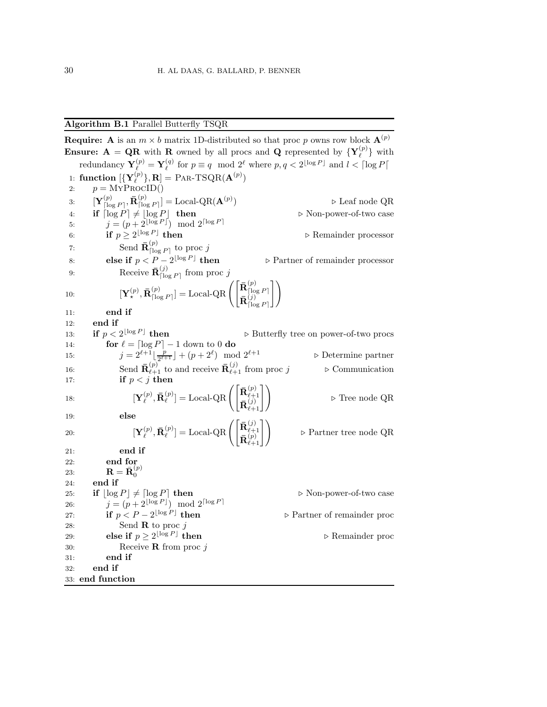### Algorithm B.1 Parallel Butterfly TSQR

**Require:** A is an  $m \times b$  matrix 1D-distributed so that proc p owns row block  $\mathbf{A}^{(p)}$ **Ensure:**  $A = QR$  with R owned by all procs and Q represented by  $\{Y_{\ell}^{(p)}\}$  with redundancy  $\mathbf{Y}_{\ell}^{(p)} = \mathbf{Y}_{\ell}^{(q)}$  for  $p \equiv q \mod 2^{\ell}$  where  $p, q < 2^{\lfloor \log P \rfloor}$  and  $l < \lceil \log P \rceil$ 1: function  $[\{Y_{\ell}^{(p)}\},R] = PAR-TSQR(A^{(p)})$ 2:  $p = \text{MYPROCID}()$ 3:  $\mathbf{Y}_{\text{flo}}^{(p)}$  $\overline{\left[\log P\right]}, \mathbf{\bar{R}}^{(p)}_{\vert}$  $\binom{p}{\lceil \log P \rceil}$  = Local-QR( $\mathbf{A}^{(p)}$ ) ⊲ Leaf node QR 4: if  $\lceil \log P \rceil \neq \lfloor \log P \rfloor$  then  $\triangleright$  Non-power-of-two case 5:  $j = (p + 2^{\lfloor \log P \rfloor}) \mod 2^{\lceil \log P \rceil}$ 6: if  $p \geq 2^{\lfloor \log P \rfloor}$ ⊳ Remainder processor 7: Send  $\bar{\mathbf{R}}_{\text{To}}^{(p)}$  $\left[\log P\right]$  to proc j 8: else if  $p < P - 2^{\lfloor \log P \rfloor}$ ⊳ Partner of remainder processor 9: Receive  $\bar{\mathbf{R}}_{\text{Ilo}}^{(j)}$  $\lim_{|I| \log P}$  from proc j 10:  $\left[\mathbf{Y}^{(p)}_{\star}, \bar{\mathbf{R}}^{(p)}_{\text{[lo]}}\right]$  $\begin{equation} \begin{bmatrix} \left( p \right) \left[ \log P \right] \end{bmatrix} = \operatorname{Local-QR} \left( \begin{bmatrix} \bar{\mathbf{R}} \begin{bmatrix} \left( p \right) \ \bar{\mathbf{R}} \end{bmatrix} \end{bmatrix} \right) \end{equation}$  $\lceil \log P \rceil$  $\bar{\mathbf{R}}_\text{Ilo}^{(j)}$  $\lceil \log P \rceil$ 11 11: end if 12: end if 13: if  $p < 2^{\lfloor \log P \rfloor}$ ⊳ Butterfly tree on power-of-two procs 14: **for**  $\ell = \lceil \log P \rceil - 1$  down to 0 **do** 15:  $j = 2^{\ell+1} \left[ \frac{p}{2^{\ell+1}} \right] + (p+2^{\ell})$ 16:  $J = 2 \int_{\lfloor 2^{\ell+1} \rfloor}^{\lfloor 2^{\ell+1} \rfloor + \lfloor p+2 \rfloor} \mod 2$ <br>
16: Send  $\overline{\mathbf{R}}_{\ell+1}^{(p)}$  to and receive  $\overline{\mathbf{R}}_{\ell+1}^{(j)}$  from proc  $j \rightharpoonup$  Communication ) mod 2<sup>ℓ</sup>+1 ⊲ Determine partner 17: if  $p < j$  then 18:  $\left[\mathbf{Y}_{\ell}^{(p)}, \mathbf{\bar{R}}_{\ell}^{(p)}\right]$  $\mathbf{I}_{\ell}^{(p)}]=\operatorname{Local-QR}\left(\begin{bmatrix} \mathbf{\bar{R}}^{(p)}_{\ell+1} \ \mathbf{\bar{n}}^{(p)}_{\ell+1} \end{bmatrix}\right)$  $\mathbf{\bar{R}}_{\ell+1}^{(j)}$  $\begin{pmatrix} (p) \\ \ell_{j+1} \\ (\ell_1) \\ \ell_{+1} \end{pmatrix}$   $\triangleright$  Tree node QR 19: else 20:  $\left[\mathbf{Y}_{\ell}^{(p)}, \mathbf{\bar{R}}_{\ell}^{(p)}\right]$  $\mathbf{I}_{\ell}^{(p)}]=\operatorname{Local-QR}\left(\begin{bmatrix} \mathbf{\bar{R}}_{\ell+1}^{(j)} \ \mathbf{\bar{n}}_{\ell+1}^{(p)} \end{bmatrix}\right)$  $\mathbf{\bar{R}}^{(p)}_{\ell+1}$  $\triangleright$  Partner tree node QR 21: end if 22: end for 23:  ${\bf R} = {\bf R}^{(p)}_0$  $\mathbf{0}$ 24: end if 25: if  $|\log P| \neq \lceil \log P \rceil$  then  $\triangleright$  Non-power-of-two case 26:  $j = (p + 2^{\lfloor \log P \rfloor}) \mod 2^{\lceil \log P \rceil}$ 27: **if**  $p < P - 2^{\lfloor \log P \rfloor}$ ⊳ Partner of remainder proc 28: Send **R** to proc  $j$ 29: **else if**  $p \geq 2^{\lfloor \log P \rfloor}$ ⊳ Remainder proc 30: Receive **R** from proc  $i$ 31: end if 32: end if 33: end function